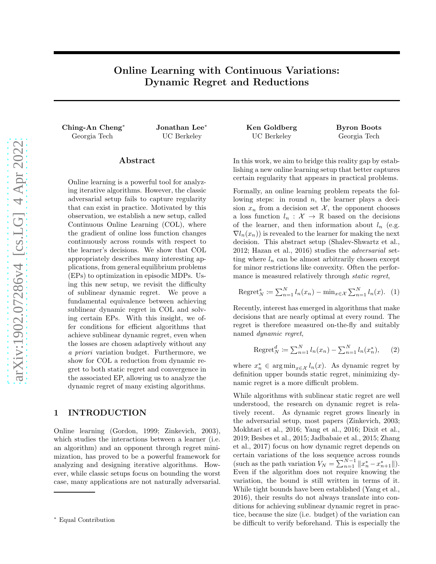# Online Learning with Continuous Variations: Dynamic Regret and Reductions

Ching-An Cheng<sup>∗</sup> Jonathan Lee<sup>∗</sup> Ken Goldberg Byron Boots Georgia Tech UC Berkeley UC Berkeley Georgia Tech

## Abstract

Online learning is a powerful tool for analyzing iterative algorithms. However, the classic adversarial setup fails to capture regularity that can exist in practice. Motivated by this observation, we establish a new setup, called Continuous Online Learning (COL), where the gradient of online loss function changes continuously across rounds with respect to the learner's decisions. We show that COL appropriately describes many interesting applications, from general equilibrium problems (EPs) to optimization in episodic MDPs. Using this new setup, we revisit the difficulty of sublinear dynamic regret. We prove a fundamental equivalence between achieving sublinear dynamic regret in COL and solving certain EPs. With this insight, we offer conditions for efficient algorithms that achieve sublinear dynamic regret, even when the losses are chosen adaptively without any a priori variation budget. Furthermore, we show for COL a reduction from dynamic regret to both static regret and convergence in the associated EP, allowing us to analyze the dynamic regret of many existing algorithms.

## 1 INTRODUCTION

Online learning (Gordon, 1999; Zinkevich, 2003), which studies the interactions between a learner (i.e. an algorithm) and an opponent through regret minimization, has proved to be a powerful framework for analyzing and designing iterative algorithms. However, while classic setups focus on bounding the worst case, many applications are not naturally adversarial.

In this work, we aim to bridge this reality gap by establishing a new online learning setup that better captures certain regularity that appears in practical problems.

Formally, an online learning problem repeats the following steps: in round  $n$ , the learner plays a decision  $x_n$  from a decision set X, the opponent chooses a loss function  $l_n : \mathcal{X} \to \mathbb{R}$  based on the decisions of the learner, and then information about  $l_n$  (e.g.  $\nabla l_n(x_n)$  is revealed to the learner for making the next decision. This abstract setup (Shalev-Shwartz et al., 2012; Hazan et al., 2016) studies the adversarial setting where  $l_n$  can be almost arbitrarily chosen except for minor restrictions like convexity. Often the performance is measured relatively through *static regret*,

Regret<sub>N</sub><sup>s</sup> := 
$$
\sum_{n=1}^{N} l_n(x_n) - \min_{x \in \mathcal{X}} \sum_{n=1}^{N} l_n(x)
$$
. (1)

Recently, interest has emerged in algorithms that make decisions that are nearly optimal at every round. The regret is therefore measured on-the-fly and suitably named dynamic regret,

Regret<sup>d</sup><sub>N</sub> := 
$$
\sum_{n=1}^{N} l_n(x_n) - \sum_{n=1}^{N} l_n(x_n^*),
$$
 (2)

where  $x_n^* \in \argmin_{x \in \mathcal{X}} l_n(x)$ . As dynamic regret by definition upper bounds static regret, minimizing dynamic regret is a more difficult problem.

While algorithms with sublinear static regret are well understood, the research on dynamic regret is relatively recent. As dynamic regret grows linearly in the adversarial setup, most papers (Zinkevich, 2003; Mokhtari et al., 2016; Yang et al., 2016; Dixit et al., 2019; Besbes et al., 2015; Jadbabaie et al., 2015; Zhang et al., 2017) focus on how dynamic regret depends on certain variations of the loss sequence across rounds (such as the path variation  $V_N = \sum_{n=1}^{N-1} ||x_n^* - x_{n+1}^*||$ ). Even if the algorithm does not require knowing the variation, the bound is still written in terms of it. While tight bounds have been established (Yang et al., 2016), their results do not always translate into conditions for achieving sublinear dynamic regret in practice, because the size (i.e. budget) of the variation can be difficult to verify beforehand. This is especially the

<sup>∗</sup> Equal Contribution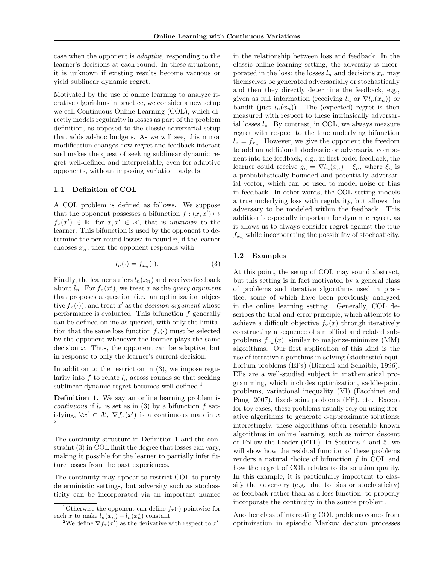case when the opponent is adaptive, responding to the learner's decisions at each round. In these situations, it is unknown if existing results become vacuous or yield sublinear dynamic regret.

Motivated by the use of online learning to analyze iterative algorithms in practice, we consider a new setup we call Continuous Online Learning (COL), which directly models regularity in losses as part of the problem definition, as opposed to the classic adversarial setup that adds ad-hoc budgets. As we will see, this minor modification changes how regret and feedback interact and makes the quest of seeking sublinear dynamic regret well-defined and interpretable, even for adaptive opponents, without imposing variation budgets.

## 1.1 Definition of COL

A COL problem is defined as follows. We suppose that the opponent possesses a bifunction  $f : (x, x') \mapsto$  $f_x(x') \in \mathbb{R}$ , for  $x, x' \in \mathcal{X}$ , that is unknown to the learner. This bifunction is used by the opponent to determine the per-round losses: in round  $n$ , if the learner chooses  $x_n$ , then the opponent responds with

$$
l_n(\cdot) = f_{x_n}(\cdot). \tag{3}
$$

Finally, the learner suffers  $l_n(x_n)$  and receives feedback about  $l_n$ . For  $f_x(x')$ , we treat x as the *query argument* that proposes a question (i.e. an optimization objective  $f_x(\cdot)$ , and treat x' as the *decision argument* whose performance is evaluated. This bifunction  $f$  generally can be defined online as queried, with only the limitation that the same loss function  $f_x(\cdot)$  must be selected by the opponent whenever the learner plays the same decision  $x$ . Thus, the opponent can be adaptive, but in response to only the learner's current decision.

In addition to the restriction in (3), we impose regularity into f to relate  $l_n$  across rounds so that seeking sublinear dynamic regret becomes well defined.<sup>1</sup>

Definition 1. We say an online learning problem is continuous if  $l_n$  is set as in (3) by a bifunction f satisfying,  $\forall x' \in \mathcal{X}, \nabla f_x(x')$  is a continuous map in x 2 .

The continuity structure in Definition 1 and the constraint (3) in COL limit the degree that losses can vary, making it possible for the learner to partially infer future losses from the past experiences.

The continuity may appear to restrict COL to purely deterministic settings, but adversity such as stochasticity can be incorporated via an important nuance

in the relationship between loss and feedback. In the classic online learning setting, the adversity is incorporated in the loss: the losses  $l_n$  and decisions  $x_n$  may themselves be generated adversarially or stochastically and then they directly determine the feedback, e.g., given as full information (receiving  $l_n$  or  $\nabla l_n(x_n)$ ) or bandit (just  $l_n(x_n)$ ). The (expected) regret is then measured with respect to these intrinsically adversarial losses  $l_n$ . By contrast, in COL, we always measure regret with respect to the true underlying bifunction  $l_n = f_{x_n}$ . However, we give the opponent the freedom to add an additional stochastic or adversarial component into the feedback; e.g., in first-order feedback, the learner could receive  $g_n = \nabla l_n(x_n) + \xi_n$ , where  $\xi_n$  is a probabilistically bounded and potentially adversarial vector, which can be used to model noise or bias in feedback. In other words, the COL setting models a true underlying loss with regularity, but allows the adversary to be modeled within the feedback. This addition is especially important for dynamic regret, as it allows us to always consider regret against the true  $f_{x_n}$  while incorporating the possibility of stochasticity.

## 1.2 Examples

At this point, the setup of COL may sound abstract, but this setting is in fact motivated by a general class of problems and iterative algorithms used in practice, some of which have been previously analyzed in the online learning setting. Generally, COL describes the trial-and-error principle, which attempts to achieve a difficult objective  $f_x(x)$  through iteratively constructing a sequence of simplified and related subproblems  $f_{x_n}(x)$ , similar to majorize-minimize (MM) algorithms. Our first application of this kind is the use of iterative algorithms in solving (stochastic) equilibrium problems (EPs) (Bianchi and Schaible, 1996). EPs are a well-studied subject in mathematical programming, which includes optimization, saddle-point problems, variational inequality (VI) (Facchinei and Pang, 2007), fixed-point problems (FP), etc. Except for toy cases, these problems usually rely on using iterative algorithms to generate  $\epsilon$ -approximate solutions; interestingly, these algorithms often resemble known algorithms in online learning, such as mirror descent or Follow-the-Leader (FTL). In Sections 4 and 5, we will show how the residual function of these problems renders a natural choice of bifunction f in COL and how the regret of COL relates to its solution quality. In this example, it is particularly important to classify the adversary (e.g. due to bias or stochasticity) as feedback rather than as a loss function, to properly incorporate the continuity in the source problem.

Another class of interesting COL problems comes from optimization in episodic Markov decision processes

<sup>&</sup>lt;sup>1</sup>Otherwise the opponent can define  $f_x(\cdot)$  pointwise for each x to make  $l_n(x_n) - l_n(x_n^*)$  constant.

<sup>&</sup>lt;sup>2</sup>We define  $\nabla f_x(x')$  as the derivative with respect to x'.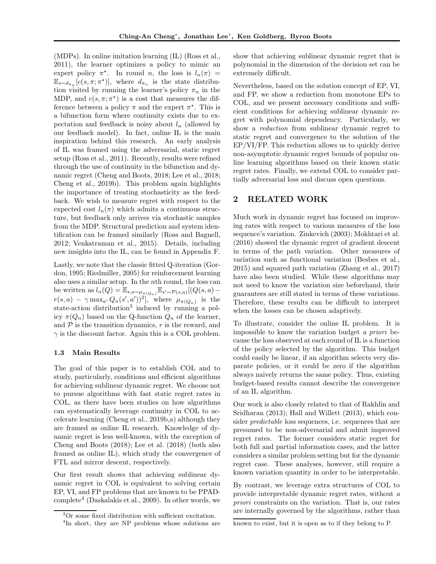(MDPs). In online imitation learning (IL) (Ross et al., 2011), the learner optimizes a policy to mimic an expert policy  $\pi^*$ . In round *n*, the loss is  $l_n(\pi)$  =  $\mathbb{E}_{s\sim d_{\pi_n}}[c(s,\pi;\pi^*)],$  where  $d_{\pi_n}$  is the state distribution visited by running the learner's policy  $\pi_n$  in the MDP, and  $c(s, \pi; \pi^*)$  is a cost that measures the difference between a policy  $\pi$  and the expert  $\pi^*$ . This is a bifunction form where continuity exists due to expectation and feedback is noisy about  $l_n$  (allowed by our feedback model). In fact, online IL is the main inspiration behind this research. An early analysis of IL was framed using the adversarial, static regret setup (Ross et al., 2011). Recently, results were refined through the use of continuity in the bifunction and dynamic regret (Cheng and Boots, 2018; Lee et al., 2018; Cheng et al., 2019b). This problem again highlights the importance of treating stochasticity as the feedback. We wish to measure regret with respect to the expected cost  $l_n(\pi)$  which admits a continuous structure, but feedback only arrives via stochastic samples from the MDP. Structural prediction and system identification can be framed similarly (Ross and Bagnell, 2012; Venkatraman et al., 2015). Details, including new insights into the IL, can be found in Appendix F.

Lastly, we note that the classic fitted Q-iteration (Gordon, 1995; Riedmiller, 2005) for reinforcement learning also uses a similar setup. In the nth round, the loss can be written as  $l_n(Q) = \mathbb{E}_{s,a \sim \mu_{\pi(Q_n)}} \mathbb{E}_{s' \sim \mathcal{P}(s,a)}[(Q(s,a)$  $r(s,a) - \gamma \max_{a'} Q_n(s',a'))^2$ , where  $\mu_{\pi(Q_n)}$  is the state-action distribution<sup>3</sup> induced by running a policy  $\pi(Q_n)$  based on the Q-function  $Q_n$  of the learner, and  $P$  is the transition dynamics,  $r$  is the reward, and  $\gamma$  is the discount factor. Again this is a COL problem.

## 1.3 Main Results

The goal of this paper is to establish COL and to study, particularly, conditions and efficient algorithms for achieving sublinear dynamic regret. We choose not to pursue algorithms with fast static regret rates in COL, as there have been studies on how algorithms can systematically leverage continuity in COL to accelerate learning (Cheng et al., 2019b,a) although they are framed as online IL research. Knowledge of dynamic regret is less well-known, with the exception of Cheng and Boots (2018); Lee et al. (2018) (both also framed as online IL), which study the convergence of FTL and mirror descent, respectively.

Our first result shows that achieving sublinear dynamic regret in COL is equivalent to solving certain EP, VI, and FP problems that are known to be PPADcomplete<sup>4</sup> (Daskalakis et al., 2009). In other words, we

show that achieving sublinear dynamic regret that is polynomial in the dimension of the decision set can be extremely difficult.

Nevertheless, based on the solution concept of EP, VI, and FP, we show a reduction from monotone EPs to COL, and we present necessary conditions and sufficient conditions for achieving sublinear dynamic regret with polynomial dependency. Particularly, we show a reduction from sublinear dynamic regret to static regret and convergence to the solution of the EP/VI/FP. This reduction allows us to quickly derive non-asymptotic dynamic regret bounds of popular online learning algorithms based on their known static regret rates. Finally, we extend COL to consider partially adversarial loss and discuss open questions.

## 2 RELATED WORK

Much work in dynamic regret has focused on improving rates with respect to various measures of the loss sequence's variation. Zinkevich (2003); Mokhtari et al. (2016) showed the dynamic regret of gradient descent in terms of the path variation. Other measures of variation such as functional variation (Besbes et al., 2015) and squared path variation (Zhang et al., 2017) have also been studied. While these algorithms may not need to know the variation size beforehand, their guarantees are still stated in terms of these variations. Therefore, these results can be difficult to interpret when the losses can be chosen adaptively.

To illustrate, consider the online IL problem. It is impossible to know the variation budget a priori because the loss observed at each round of IL is a function of the policy selected by the algorithm. This budget could easily be linear, if an algorithm selects very disparate policies, or it could be zero if the algorithm always naively returns the same policy. Thus, existing budget-based results cannot describe the convergence of an IL algorithm.

Our work is also closely related to that of Rakhlin and Sridharan (2013); Hall and Willett (2013), which consider predictable loss sequences, i.e. sequences that are presumed to be non-adversarial and admit improved regret rates. The former considers static regret for both full and partial information cases, and the latter considers a similar problem setting but for the dynamic regret case. These analyses, however, still require a known variation quantity in order to be interpretable.

By contrast, we leverage extra structures of COL to provide interpretable dynamic regret rates, without a priori constraints on the variation. That is, our rates are internally governed by the algorithms, rather than

known to exist, but it is open as to if they belong to P.

<sup>3</sup>Or some fixed distribution with sufficient excitation. <sup>4</sup>In short, they are NP problems whose solutions are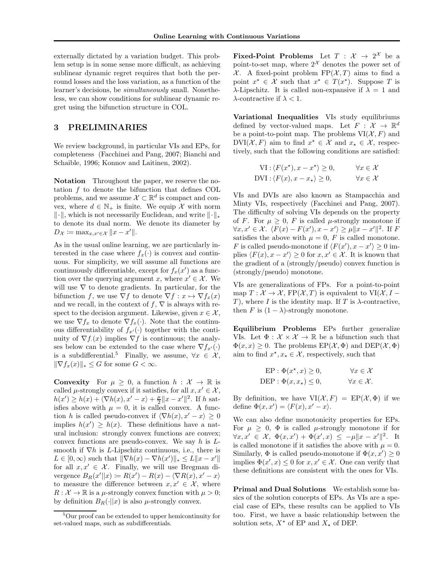externally dictated by a variation budget. This problem setup is in some sense more difficult, as achieving sublinear dynamic regret requires that both the perround losses and the loss variation, as a function of the learner's decisions, be simultaneously small. Nonetheless, we can show conditions for sublinear dynamic regret using the bifunction structure in COL.

## 3 PRELIMINARIES

We review background, in particular VIs and EPs, for completeness (Facchinei and Pang, 2007; Bianchi and Schaible, 1996; Konnov and Laitinen, 2002).

Notation Throughout the paper, we reserve the notation f to denote the bifunction that defines COL problems, and we assume  $\mathcal{X} \subset \mathbb{R}^d$  is compact and convex, where  $d \in \mathbb{N}_+$  is finite. We equip X with norm  $\|\cdot\|$ , which is not necessarily Euclidean, and write  $\|\cdot\|_*$ to denote its dual norm. We denote its diameter by  $D_{\mathcal{X}} \coloneqq \max_{x, x' \in \mathcal{X}} \|x - x'\|.$ 

As in the usual online learning, we are particularly interested in the case where  $f_x(\cdot)$  is convex and continuous. For simplicity, we will assume all functions are continuously differentiable, except for  $f_x(x')$  as a function over the querying argument x, where  $x' \in \mathcal{X}$ . We will use  $\nabla$  to denote gradients. In particular, for the bifunction f, we use  $\nabla f$  to denote  $\nabla f : x \mapsto \nabla f_x(x)$ and we recall, in the context of  $f, \nabla$  is always with respect to the decision argument. Likewise, given  $x \in \mathcal{X}$ , we use  $\nabla f_x$  to denote  $\nabla f_x(\cdot)$ . Note that the continuous differentiability of  $f_{x'}(\cdot)$  together with the continuity of  $\nabla f(x)$  implies  $\nabla f$  is continuous; the analyses below can be extended to the case where  $\nabla f_{x'}(\cdot)$ is a subdifferential.<sup>5</sup> Finally, we assume,  $\forall x \in \mathcal{X}$ ,  $\|\nabla f_x(x)\|_* \leq G$  for some  $G < \infty$ .

**Convexity** For  $\mu \geq 0$ , a function  $h : \mathcal{X} \to \mathbb{R}$  is called  $\mu$ -strongly convex if it satisfies, for all  $x, x' \in \mathcal{X}$ ,  $h(x') \ge h(x) + \langle \nabla h(x), x' - x \rangle + \frac{\mu}{2} ||x - x'||^2$ . If h satisfies above with  $\mu = 0$ , it is called convex. A function h is called pseudo-convex if  $\langle \nabla h(x), x' - x \rangle \geq 0$ implies  $h(x') \geq h(x)$ . These definitions have a natural inclusion: strongly convex functions are convex; convex functions are pseudo-convex. We say  $h$  is  $L$ smooth if  $\nabla h$  is *L*-Lipschitz continuous, i.e., there is  $L \in [0, \infty)$  such that  $\|\nabla h(x) - \nabla h(x')\|_* \leq L \|x - x'\|$ for all  $x, x' \in \mathcal{X}$ . Finally, we will use Bregman divergence  $B_R(x'||x) := R(x') - R(x) - \langle \nabla R(x), x' - x \rangle$ to measure the difference between  $x, x' \in \mathcal{X}$ , where  $R: \mathcal{X} \to \mathbb{R}$  is a  $\mu$ -strongly convex function with  $\mu > 0$ ; by definition  $B_R(\cdot||x)$  is also  $\mu$ -strongly convex.

**Fixed-Point Problems** Let  $T : \mathcal{X} \to 2^{\mathcal{X}}$  be a point-to-set map, where  $2^{\mathcal{X}}$  denotes the power set of  $\mathcal X$ . A fixed-point problem FP( $\mathcal X$ , T) aims to find a point  $x^* \in \mathcal{X}$  such that  $x^* \in T(x^*)$ . Suppose T is λ-Lipschitz. It is called non-expansive if  $\lambda = 1$  and  $\lambda$ -contractive if  $\lambda < 1$ .

Variational Inequalities VIs study equilibriums defined by vector-valued maps. Let  $F: \mathcal{X} \to \mathbb{R}^d$ be a point-to-point map. The problems  $VI(X, F)$  and  $\text{DVI}(\mathcal{X}, F)$  aim to find  $x^* \in \mathcal{X}$  and  $x_* \in \mathcal{X}$ , respectively, such that the following conditions are satisfied:

$$
\text{VI}: \langle F(x^*), x - x^* \rangle \ge 0, \qquad \forall x \in \mathcal{X}
$$
  
\n
$$
\text{DVI}: \langle F(x), x - x_* \rangle \ge 0, \qquad \forall x \in \mathcal{X}
$$

VIs and DVIs are also known as Stampacchia and Minty VIs, respectively (Facchinei and Pang, 2007). The difficulty of solving VIs depends on the property of F. For  $\mu \geq 0$ , F is called  $\mu$ -strongly monotone if  $\forall x, x' \in \mathcal{X}. \ \langle F(x) - F(x'), x - x' \rangle \ge \mu ||x - x'||^2. \text{ If } F$ satisfies the above with  $\mu = 0$ , F is called monotone. F is called pseudo-monotone if  $\langle F(x'), x - x' \rangle \ge 0$  implies  $\langle F(x), x - x' \rangle \ge 0$  for  $x, x' \in \mathcal{X}$ . It is known that the gradient of a (strongly/pseudo) convex function is (strongly/pseudo) monotone.

VIs are generalizations of FPs. For a point-to-point map  $T: \mathcal{X} \to \mathcal{X}$ , FP $(\mathcal{X}, T)$  is equivalent to VI $(\mathcal{X}, I -$ T), where I is the identity map. If T is  $\lambda$ -contractive, then F is  $(1 - \lambda)$ -strongly monotone.

Equilibrium Problems EPs further generalize VIs. Let  $\Phi : \mathcal{X} \times \mathcal{X} \to \mathbb{R}$  be a bifunction such that  $\Phi(x, x) \geq 0$ . The problems  $EP(\mathcal{X}, \Phi)$  and  $DEF(\mathcal{X}, \Phi)$ aim to find  $x^*, x_* \in \mathcal{X}$ , respectively, such that

$$
\text{EP}: \Phi(x^\star, x) \ge 0, \qquad \forall x \in \mathcal{X}
$$
  
DEP: 
$$
\Phi(x, x_\star) \le 0, \qquad \forall x \in \mathcal{X}.
$$

By definition, we have  $VI(\mathcal{X}, F) = EP(\mathcal{X}, \Phi)$  if we define  $\Phi(x, x') = \langle F(x), x' - x \rangle$ .

We can also define monotonicity properties for EPs. For  $\mu \geq 0$ ,  $\Phi$  is called  $\mu$ -strongly monotone if for  $\forall x, x' \in \mathcal{X}, \ \Phi(x, x') + \Phi(x', x) \leq -\mu \|x - x'\|^2.$  It is called monotone if it satisfies the above with  $\mu = 0$ . Similarly,  $\Phi$  is called pseudo-monotone if  $\Phi(x, x') \geq 0$ implies  $\Phi(x',x) \leq 0$  for  $x, x' \in \mathcal{X}$ . One can verify that these definitions are consistent with the ones for VIs.

Primal and Dual Solutions We establish some basics of the solution concepts of EPs. As VIs are a special case of EPs, these results can be applied to VIs too. First, we have a basic relationship between the solution sets,  $X^*$  of EP and  $X_*$  of DEP.

<sup>5</sup>Our proof can be extended to upper hemicontinuity for set-valued maps, such as subdifferentials.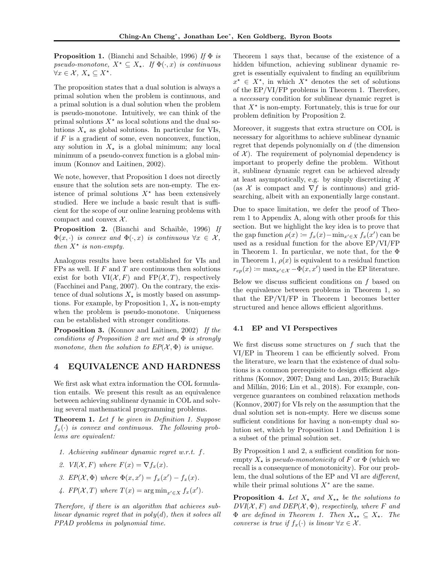**Proposition 1.** (Bianchi and Schaible, 1996) If  $\Phi$  is pseudo-monotone,  $X^* \subseteq X_*$ . If  $\Phi(\cdot, x)$  is continuous  $\forall x \in \mathcal{X}, X_{\star} \subseteq X^{\star}.$ 

The proposition states that a dual solution is always a primal solution when the problem is continuous, and a primal solution is a dual solution when the problem is pseudo-monotone. Intuitively, we can think of the primal solutions  $X^*$  as local solutions and the dual solutions  $X_{\star}$  as global solutions. In particular for VIs, if  $F$  is a gradient of some, even nonconvex, function, any solution in  $X_{\star}$  is a global minimum; any local minimum of a pseudo-convex function is a global minimum (Konnov and Laitinen, 2002).

We note, however, that Proposition 1 does not directly ensure that the solution sets are non-empty. The existence of primal solutions  $X^*$  has been extensively studied. Here we include a basic result that is sufficient for the scope of our online learning problems with compact and convex  $X$ .

Proposition 2. (Bianchi and Schaible, 1996) If  $\Phi(x, \cdot)$  is convex and  $\Phi(\cdot, x)$  is continuous  $\forall x \in \mathcal{X}$ , then  $X^*$  is non-empty.

Analogous results have been established for VIs and  $FPs$  as well. If  $F$  and  $T$  are continuous then solutions exist for both  $VI(X, F)$  and  $FP(X, T)$ , respectively (Facchinei and Pang, 2007). On the contrary, the existence of dual solutions  $X<sub>*</sub>$  is mostly based on assumptions. For example, by Proposition 1,  $X_{\star}$  is non-empty when the problem is pseudo-monotone. Uniqueness can be established with stronger conditions.

Proposition 3. (Konnov and Laitinen, 2002) If the conditions of Proposition 2 are met and Φ is strongly monotone, then the solution to  $EP(X, \Phi)$  is unique.

## 4 EQUIVALENCE AND HARDNESS

We first ask what extra information the COL formulation entails. We present this result as an equivalence between achieving sublinear dynamic in COL and solving several mathematical programming problems.

Theorem 1. Let f be given in Definition 1. Suppose  $f_x(\cdot)$  is convex and continuous. The following problems are equivalent:

- 1. Achieving sublinear dynamic regret w.r.t. f.
- 2. VI(X, F) where  $F(x) = \nabla f_x(x)$ .
- 3.  $EP(\mathcal{X}, \Phi)$  where  $\Phi(x, x') = f_x(x') f_x(x)$ .
- 4.  $FP(X, T)$  where  $T(x) = \arg \min_{x' \in X} f_x(x')$ .

Therefore, if there is an algorithm that achieves sublinear dynamic regret that in  $poly(d)$ , then it solves all PPAD problems in polynomial time.

Theorem 1 says that, because of the existence of a hidden bifunction, achieving sublinear dynamic regret is essentially equivalent to finding an equilibrium  $x^* \in X^*$ , in which  $X^*$  denotes the set of solutions of the EP/VI/FP problems in Theorem 1. Therefore, a necessary condition for sublinear dynamic regret is that  $X^*$  is non-empty. Fortunately, this is true for our problem definition by Proposition 2.

Moreover, it suggests that extra structure on COL is necessary for algorithms to achieve sublinear dynamic regret that depends polynomially on d (the dimension of  $\mathcal{X}$ ). The requirement of polynomial dependency is important to properly define the problem. Without it, sublinear dynamic regret can be achieved already at least asymptotically, e.g. by simply discretizing  $\mathcal{X}$ (as  $X$  is compact and  $\nabla f$  is continuous) and gridsearching, albeit with an exponentially large constant.

Due to space limitation, we defer the proof of Theorem 1 to Appendix A, along with other proofs for this section. But we highlight the key idea is to prove that the gap function  $\rho(x) := f_x(x) - \min_{x' \in X} f_x(x')$  can be used as a residual function for the above EP/VI/FP in Theorem 1. In particular, we note that, for the Φ in Theorem 1,  $\rho(x)$  is equivalent to a residual function  $r_{ep}(x) \coloneqq \max_{x' \in \mathcal{X}} -\Phi(x, x')$  used in the EP literature.

Below we discuss sufficient conditions on  $f$  based on the equivalence between problems in Theorem 1, so that the EP/VI/FP in Theorem 1 becomes better structured and hence allows efficient algorithms.

## 4.1 EP and VI Perspectives

We first discuss some structures on  $f$  such that the VI/EP in Theorem 1 can be efficiently solved. From the literature, we learn that the existence of dual solutions is a common prerequisite to design efficient algorithms (Konnov, 2007; Dang and Lan, 2015; Burachik and Millán, 2016; Lin et al., 2018). For example, convergence guarantees on combined relaxation methods (Konnov, 2007) for VIs rely on the assumption that the dual solution set is non-empty. Here we discuss some sufficient conditions for having a non-empty dual solution set, which by Proposition 1 and Definition 1 is a subset of the primal solution set.

By Proposition 1 and 2, a sufficient condition for nonempty  $X_{\star}$  is *pseudo-monotonicity* of F or  $\Phi$  (which we recall is a consequence of monotonicity). For our problem, the dual solutions of the EP and VI are different, while their primal solutions  $X^*$  are the same.

**Proposition 4.** Let  $X_{\star}$  and  $X_{\star\star}$  be the solutions to  $DVI(X, F)$  and  $DEP(X, \Phi)$ , respectively, where F and  $\Phi$  are defined in Theorem 1. Then  $X_{**} \subseteq X_{*}$ . The converse is true if  $f_x(\cdot)$  is linear  $\forall x \in \mathcal{X}$ .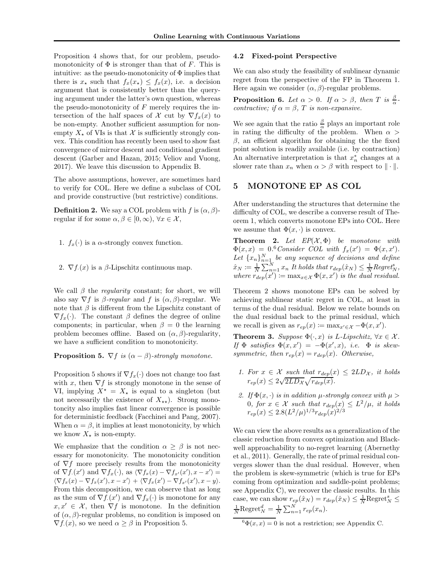Proposition 4 shows that, for our problem, pseudomonotonicity of  $\Phi$  is stronger than that of F. This is intuitive: as the pseudo-monotonicity of  $\Phi$  implies that there is  $x_{\star}$  such that  $f_x(x_{\star}) \leq f_x(x)$ , i.e. a decision argument that is consistently better than the querying argument under the latter's own question, whereas the pseudo-monotonicity of  $F$  merely requires the intersection of the half spaces of X cut by  $\nabla f_x(x)$  to be non-empty. Another sufficient assumption for nonempty  $X_{\star}$  of VIs is that X is sufficiently strongly convex. This condition has recently been used to show fast convergence of mirror descent and conditional gradient descent (Garber and Hazan, 2015; Veliov and Vuong, 2017). We leave this discussion to Appendix B.

The above assumptions, however, are sometimes hard to verify for COL. Here we define a subclass of COL and provide constructive (but restrictive) conditions.

**Definition 2.** We say a COL problem with f is  $(\alpha, \beta)$ regular if for some  $\alpha, \beta \in [0, \infty)$ ,  $\forall x \in \mathcal{X}$ ,

- 1.  $f_x(\cdot)$  is a  $\alpha$ -strongly convex function.
- 2.  $\nabla f(x)$  is a  $\beta$ -Lipschitz continuous map.

We call  $\beta$  the *regularity* constant; for short, we will also say  $\nabla f$  is  $\beta$ -regular and f is  $(\alpha, \beta)$ -regular. We note that  $\beta$  is different from the Lipschitz constant of  $\nabla f_x(\cdot)$ . The constant  $\beta$  defines the degree of online components; in particular, when  $\beta = 0$  the learning problem becomes offline. Based on  $(\alpha, \beta)$ -regularity, we have a sufficient condition to monotonicity.

**Proposition 5.**  $\nabla f$  is  $(\alpha - \beta)$ -strongly monotone.

Proposition 5 shows if  $\nabla f_x(\cdot)$  does not change too fast with x, then  $\nabla f$  is strongly monotone in the sense of VI, implying  $X^* = X_*$  is equal to a singleton (but not necessarily the existence of  $X_{**}$ ). Strong monotoncity also implies fast linear convergence is possible for deterministic feedback (Facchinei and Pang, 2007). When  $\alpha = \beta$ , it implies at least monotonicity, by which we know  $X_{\star}$  is non-empty.

We emphasize that the condition  $\alpha \geq \beta$  is not necessary for monotonicity. The monotonicity condition of  $\nabla f$  more precisely results from the monotonicity of  $\nabla f(x')$  and  $\nabla f_x(\cdot)$ , as  $\langle \nabla f_x(x) - \nabla f_{x'}(x'), x - x' \rangle =$  $\langle \nabla f_x(x) - \nabla f_x(x'), x - x' \rangle + \langle \nabla f_x(x') - \nabla f_{x'}(x'), x - y \rangle.$ From this decomposition, we can observe that as long as the sum of  $\nabla f(x')$  and  $\nabla f_x(\cdot)$  is monotone for any  $x, x' \in \mathcal{X}$ , then  $\nabla f$  is monotone. In the definition of  $(\alpha, \beta)$ -regular problems, no condition is imposed on  $\nabla f(x)$ , so we need  $\alpha \geq \beta$  in Proposition 5.

## 4.2 Fixed-point Perspective

We can also study the feasibility of sublinear dynamic regret from the perspective of the FP in Theorem 1. Here again we consider  $(\alpha, \beta)$ -regular problems.

**Proposition 6.** Let  $\alpha > 0$ . If  $\alpha > \beta$ , then T is  $\frac{\beta}{\alpha}$ contractive; if  $\alpha = \beta$ , T is non-expansive.

We see again that the ratio  $\frac{\beta}{\alpha}$  plays an important role in rating the difficulty of the problem. When  $\alpha$  $\beta$ , an efficient algorithm for obtaining the the fixed point solution is readily available (i.e. by contraction) An alternative interpretation is that  $x_n^*$  changes at a slower rate than  $x_n$  when  $\alpha > \beta$  with respect to  $\|\cdot\|.$ 

## 5 MONOTONE EP AS COL

After understanding the structures that determine the difficulty of COL, we describe a converse result of Theorem 1, which converts monotone EPs into COL. Here we assume that  $\Phi(x, \cdot)$  is convex.

**Theorem 2.** Let  $EP(X, \Phi)$  be monotone with  $\Phi(x,x) = 0.6$  Consider COL with  $f_x(x') = \Phi(x,x')$ . Let  $\{x_n\}_{n=1}^N$  be any sequence of decisions and define  $\hat{x}_N \coloneqq \frac{1}{N} \sum_{n=1}^N x_n$  It holds that  $r_{dep}(\hat{x}_N) \leq \frac{1}{N} Regret_N^s$ , where  $r_{dep}(x') := \max_{x \in \mathcal{X}} \Phi(x, x')$  is the dual residual.

Theorem 2 shows monotone EPs can be solved by achieving sublinear static regret in COL, at least in terms of the dual residual. Below we relate bounds on the dual residual back to the primal residual, which we recall is given as  $r_{ep}(x) \coloneqq \max_{x' \in \mathcal{X}} -\Phi(x, x').$ 

**Theorem 3.** Suppose  $\Phi(\cdot, x)$  is L-Lipschitz,  $\forall x \in \mathcal{X}$ . If  $\Phi$  satisfies  $\Phi(x,x') = -\Phi(x',x)$ , i.e.  $\Phi$  is skewsymmetric, then  $r_{ep}(x) = r_{dep}(x)$ . Otherwise,

- 1. For  $x \in \mathcal{X}$  such that  $r_{dep}(x) \leq 2LD_{\mathcal{X}}$ , it holds  $r_{ep}(x) \leq 2\sqrt{2LD_{\mathcal{X}}}\sqrt{r_{dep}(x)}$ .
- 2. If  $\Phi(x, \cdot)$  is in addition  $\mu$ -strongly convex with  $\mu >$ 0, for  $x \in \mathcal{X}$  such that  $r_{dep}(x) \leq L^2/\mu$ , it holds  $r_{ep}(x) \leq 2.8(L^2/\mu)^{1/3} r_{dep}(x)^{2/3}$

We can view the above results as a generalization of the classic reduction from convex optimization and Blackwell approachability to no-regret learning (Abernethy et al., 2011). Generally, the rate of primal residual converges slower than the dual residual. However, when the problem is skew-symmetric (which is true for EPs coming from optimization and saddle-point problems; see Appendix C), we recover the classic results. In this case, we can show  $r_{ep}(\hat{x}_N) = r_{dep}(\hat{x}_N) \le \frac{1}{N} \text{Regret}_N^s \le \frac{1}{N} \text{Regret}_N^d = \frac{1}{N} \sum_{n=1}^N r_{ep}(x_n).$ 

 $^{6}\Phi(x, x) = 0$  is not a restriction; see Appendix C.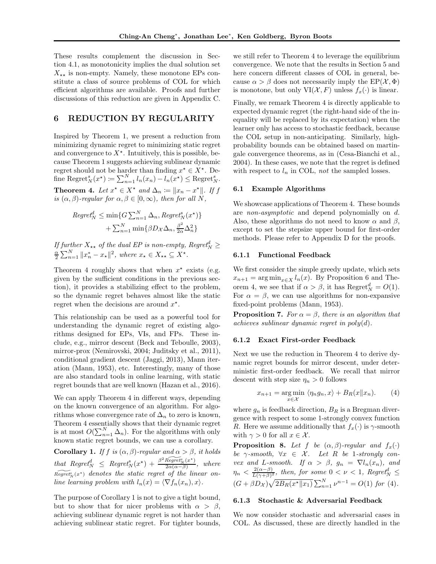These results complement the discussion in Section 4.1, as monotonicity implies the dual solution set  $X_{**}$  is non-empty. Namely, these monotone EPs constitute a class of source problems of COL for which efficient algorithms are available. Proofs and further discussions of this reduction are given in Appendix C.

## 6 REDUCTION BY REGULARITY

Inspired by Theorem 1, we present a reduction from minimizing dynamic regret to minimizing static regret and convergence to  $X^*$ . Intuitively, this is possible, because Theorem 1 suggests achieving sublinear dynamic regret should not be harder than finding  $x^* \in X^*$ . Define Regret $_N^s(x^*) \coloneqq \sum_{n=1}^N l_n(x_n) - l_n(x^*) \leq \text{Regret}_N^s.$ **Theorem 4.** Let  $x^* \in X^*$  and  $\Delta_n := ||x_n - x^*||$ . If f is  $(\alpha, \beta)$ -regular for  $\alpha, \beta \in [0, \infty)$ , then for all N,

$$
Regret_N^d \le \min\{G \sum_{n=1}^N \Delta_n, Regret_N^s(x^\star)\}\
$$

$$
+ \sum_{n=1}^N \min\{\beta D_X \Delta_n, \frac{\beta^2}{2\alpha} \Delta_n^2\}
$$

If further  $X_{**}$  of the dual EP is non-empty, Regret $\frac{a}{2} \sum_{n=1}^{N} ||x_n^* - x_*||^2$ , where  $x_* \in X_{**} \subseteq X^*$ .

Theorem 4 roughly shows that when  $x^*$  exists (e.g. given by the sufficient conditions in the previous section), it provides a stabilizing effect to the problem, so the dynamic regret behaves almost like the static regret when the decisions are around  $x^*$ .

This relationship can be used as a powerful tool for understanding the dynamic regret of existing algorithms designed for EPs, VIs, and FPs. These include, e.g., mirror descent (Beck and Teboulle, 2003), mirror-prox (Nemirovski, 2004; Juditsky et al., 2011), conditional gradient descent (Jaggi, 2013), Mann iteration (Mann, 1953), etc. Interestingly, many of those are also standard tools in online learning, with static regret bounds that are well known (Hazan et al., 2016).

We can apply Theorem 4 in different ways, depending on the known convergence of an algorithm. For algorithms whose convergence rate of  $\Delta_n$  to zero is known, Theorem 4 essentially shows that their dynamic regret is at most  $O(\sum_{n=1}^{N} \Delta_n)$ . For the algorithms with only known static regret bounds, we can use a corollary.

Corollary 1. If f is  $(\alpha, \beta)$ -regular and  $\alpha > \beta$ , it holds that Regret<sup>8</sup><sub>N</sub>  $\leq$  Regret<sup>8</sup><sub>N</sub>(x<sup>\*</sup>) +  $\frac{\beta^2 \widetilde{Regret}_{N}^s(x^*)}{2\alpha(\alpha-\beta)}$  $rac{\mu \epsilon g r \epsilon t_N(x)}{2\alpha(\alpha-\beta)}$ , where  $\widetilde{Regret_N^s}(x^*)$  denotes the static regret of the linear online learning problem with  $l_n(x) = \langle \nabla f_n(x_n), x \rangle$ .

The purpose of Corollary 1 is not to give a tight bound, but to show that for nicer problems with  $\alpha > \beta$ , achieving sublinear dynamic regret is not harder than achieving sublinear static regret. For tighter bounds,

we still refer to Theorem 4 to leverage the equilibrium convergence. We note that the results in Section 5 and here concern different classes of COL in general, because  $\alpha > \beta$  does not necessarily imply the EP( $\mathcal{X}, \Phi$ ) is monotone, but only  $VI(X, F)$  unless  $f_x(\cdot)$  is linear.

Finally, we remark Theorem 4 is directly applicable to expected dynamic regret (the right-hand side of the inequality will be replaced by its expectation) when the learner only has access to stochastic feedback, because the COL setup in non-anticipating. Similarly, highprobability bounds can be obtained based on martingale convergence theorems, as in (Cesa-Bianchi et al., 2004). In these cases, we note that the regret is defined with respect to  $l_n$  in COL, not the sampled losses.

## 6.1 Example Algorithms

We showcase applications of Theorem 4. These bounds are non-asymptotic and depend polynomially on d. Also, these algorithms do not need to know  $\alpha$  and  $\beta$ , except to set the stepsize upper bound for first-order methods. Please refer to Appendix D for the proofs.

#### 6.1.1 Functional Feedback

We first consider the simple greedy update, which sets  $x_{n+1} = \arg \min_{x \in X} l_n(x)$ . By Proposition 6 and Theorem 4, we see that if  $\alpha > \beta$ , it has Regret $_N^d = O(1)$ . For  $\alpha = \beta$ , we can use algorithms for non-expansive fixed-point problems (Mann, 1953).

**Proposition 7.** For  $\alpha = \beta$ , there is an algorithm that achieves sublinear dynamic regret in  $poly(d)$ .

## 6.1.2 Exact First-order Feedback

Next we use the reduction in Theorem 4 to derive dynamic regret bounds for mirror descent, under deterministic first-order feedback. We recall that mirror descent with step size  $\eta_n > 0$  follows

$$
x_{n+1} = \underset{x \in \mathcal{X}}{\arg \min} \langle \eta_n g_n, x \rangle + B_R(x \| x_n). \tag{4}
$$

where  $g_n$  is feedback direction,  $B_R$  is a Bregman divergence with respect to some 1-strongly convex function R. Here we assume additionally that  $f_x(\cdot)$  is  $\gamma$ -smooth with  $\gamma > 0$  for all  $x \in \mathcal{X}$ .

**Proposition 8.** Let f be  $(\alpha, \beta)$ -regular and  $f_x(\cdot)$ be  $\gamma$ -smooth,  $\forall x \in \mathcal{X}$ . Let R be 1-strongly convex and L-smooth. If  $\alpha > \beta$ ,  $g_n = \nabla l_n(x_n)$ , and  $\eta_n < \frac{2(\alpha-\beta)}{L(\gamma+\beta)^2}$ , then, for some  $0 < \nu < 1$ , Regret $_{N}^{d} \leq$  $(G + \beta D_{\mathcal{X}})\sqrt{2B_R(x^*||x_1)}\sum_{n=1}^N \nu^{n-1} = O(1)$  for (4).

## 6.1.3 Stochastic & Adversarial Feedback

We now consider stochastic and adversarial cases in COL. As discussed, these are directly handled in the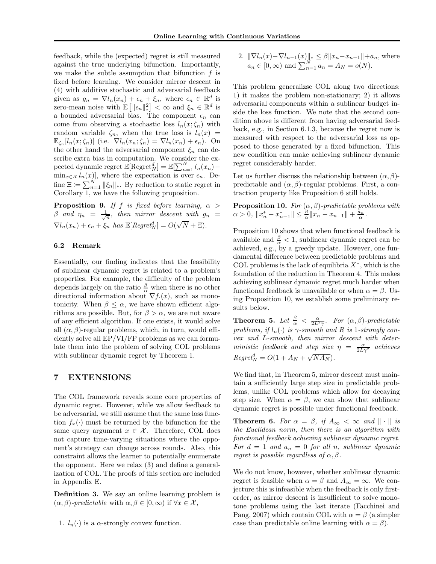feedback, while the (expected) regret is still measured against the true underlying bifunction. Importantly, we make the subtle assumption that bifunction  $f$  is fixed before learning. We consider mirror descent in (4) with additive stochastic and adversarial feedback given as  $g_n = \nabla l_n(x_n) + \epsilon_n + \xi_n$ , where  $\epsilon_n \in \mathbb{R}^d$  is zero-mean noise with  $\mathbb{E}\left[\|\epsilon_n\|_*^2\right] < \infty$  and  $\xi_n \in \mathbb{R}^d$  is a bounded adversarial bias. The component  $\epsilon_n$  can come from observing a stochastic loss  $l_n(x; \zeta_n)$  with random variable  $\zeta_n$ , when the true loss is  $l_n(x)$  =  $\mathbb{E}_{\zeta_n}[l_n(x;\zeta_n)]$  (i.e.  $\nabla l_n(x_n;\zeta_n) = \nabla l_n(x_n) + \epsilon_n$ ). On the other hand the adversarial component  $\xi_n$  can describe extra bias in computation. We consider the expected dynamic regret  $\mathbb{E}[\text{Regret}_N^d] = \mathbb{E}[\sum_{n=1}^N l_n(x_n) \min_{x \in \mathcal{X}} l_n(x)$ , where the expectation is over  $\epsilon_n$ . Define  $\Xi := \sum_{n=1}^{N} ||\xi_n||_*$ . By reduction to static regret in Corollary 1, we have the following proposition.

**Proposition 9.** If f is fixed before learning,  $\alpha$  >  $\beta$  and  $\eta_n = \frac{1}{\sqrt{n}}$ , then mirror descent with  $g_n =$  $\nabla l_n(x_n) + \epsilon_n + \xi_n$  has  $\mathbb{E}[Regret_N^d] = O(\sqrt{N} + \Xi).$ 

## 6.2 Remark

Essentially, our finding indicates that the feasibility of sublinear dynamic regret is related to a problem's properties. For example, the difficulty of the problem depends largely on the ratio  $\frac{\beta}{\alpha}$  when there is no other directional information about  $\nabla f(x)$ , such as monotonicity. When  $\beta \leq \alpha$ , we have shown efficient algorithms are possible. But, for  $\beta > \alpha$ , we are not aware of any efficient algorithm. If one exists, it would solve all  $(\alpha, \beta)$ -regular problems, which, in turn, would efficiently solve all EP/VI/FP problems as we can formulate them into the problem of solving COL problems with sublinear dynamic regret by Theorem 1.

## 7 EXTENSIONS

The COL framework reveals some core properties of dynamic regret. However, while we allow feedback to be adversarial, we still assume that the same loss function  $f_x(\cdot)$  must be returned by the bifunction for the same query argument  $x \in \mathcal{X}$ . Therefore, COL does not capture time-varying situations where the opponent's strategy can change across rounds. Also, this constraint allows the learner to potentially enumerate the opponent. Here we relax (3) and define a generalization of COL. The proofs of this section are included in Appendix E.

Definition 3. We say an online learning problem is  $(\alpha, \beta)$ -predictable with  $\alpha, \beta \in [0, \infty)$  if  $\forall x \in \mathcal{X}$ ,

2.  $\|\nabla l_n(x)-\nabla l_{n-1}(x)\|_* \leq \beta \|x_n-x_{n-1}\|+a_n$ , where  $a_n \in [0, \infty)$  and  $\sum_{n=1}^{N} a_n = A_N = o(N)$ .

This problem generalizse COL along two directions: 1) it makes the problem non-stationary; 2) it allows adversarial components within a sublinear budget inside the loss function. We note that the second condition above is different from having adversarial feedback, e.g., in Section 6.1.3, because the regret now is measured with respect to the adversarial loss as opposed to those generated by a fixed bifunction. This new condition can make achieving sublinear dynamic regret considerably harder.

Let us further discuss the relationship between  $(\alpha, \beta)$ predictable and  $(\alpha, \beta)$ -regular problems. First, a contraction property like Proposition 6 still holds.

**Proposition 10.** For  $(\alpha, \beta)$ -predictable problems with  $\alpha > 0, \|x_n^* - x_{n-1}^*\| \leq \frac{\beta}{\alpha} \|x_n - x_{n-1}\| + \frac{a_n}{\alpha}.$ 

Proposition 10 shows that when functional feedback is available and  $\frac{\beta}{\alpha} < 1$ , sublinear dynamic regret can be achieved, e.g., by a greedy update. However, one fundamental difference between predictable problems and COL problems is the lack of equilibria  $X^*$ , which is the foundation of the reduction in Theorem 4. This makes achieving sublinear dynamic regret much harder when functional feedback is unavailable or when  $\alpha = \beta$ . Using Proposition 10, we establish some preliminary results below.

**Theorem 5.** Let  $\frac{\beta}{\alpha} < \frac{\alpha}{2L^2\gamma}$ . For  $(\alpha, \beta)$ -predictable problems, if  $l_n(\cdot)$  is  $\gamma$ -smooth and R is 1-strongly convex and L-smooth, then mirror descent with deterministic feedback and step size  $\eta = \frac{\alpha}{2L\gamma^2}$  achieves  $Regret_N^d = O(1 + A_N + \sqrt{N A_N}).$ 

We find that, in Theorem 5, mirror descent must maintain a sufficiently large step size in predictable problems, unlike COL problems which allow for decaying step size. When  $\alpha = \beta$ , we can show that sublinear dynamic regret is possible under functional feedback.

**Theorem 6.** For  $\alpha = \beta$ , if  $A_{\infty} < \infty$  and  $\|\cdot\|$  is the Euclidean norm, then there is an algorithm with functional feedback achieving sublinear dynamic regret. For  $d = 1$  and  $a_n = 0$  for all n, sublinear dynamic regret is possible regardless of  $\alpha, \beta$ .

We do not know, however, whether sublinear dynamic regret is feasible when  $\alpha = \beta$  and  $A_{\infty} = \infty$ . We conjecture this is infeasible when the feedback is only firstorder, as mirror descent is insufficient to solve monotone problems using the last iterate (Facchinei and Pang, 2007) which contain COL with  $\alpha = \beta$  (a simpler case than predictable online learning with  $\alpha = \beta$ ).

<sup>1.</sup>  $l_n(\cdot)$  is a  $\alpha$ -strongly convex function.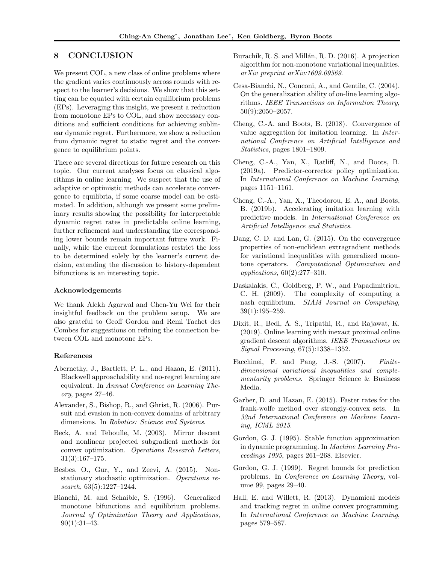## 8 CONCLUSION

We present COL, a new class of online problems where the gradient varies continuously across rounds with respect to the learner's decisions. We show that this setting can be equated with certain equilibrium problems (EPs). Leveraging this insight, we present a reduction from monotone EPs to COL, and show necessary conditions and sufficient conditions for achieving sublinear dynamic regret. Furthermore, we show a reduction from dynamic regret to static regret and the convergence to equilibrium points.

There are several directions for future research on this topic. Our current analyses focus on classical algorithms in online learning. We suspect that the use of adaptive or optimistic methods can accelerate convergence to equilibria, if some coarse model can be estimated. In addition, although we present some preliminary results showing the possibility for interpretable dynamic regret rates in predictable online learning, further refinement and understanding the corresponding lower bounds remain important future work. Finally, while the current formulations restrict the loss to be determined solely by the learner's current decision, extending the discussion to history-dependent bifunctions is an interesting topic.

## Acknowledgements

We thank Alekh Agarwal and Chen-Yu Wei for their insightful feedback on the problem setup. We are also grateful to Geoff Gordon and Remi Tachet des Combes for suggestions on refining the connection between COL and monotone EPs.

## References

- Abernethy, J., Bartlett, P. L., and Hazan, E. (2011). Blackwell approachability and no-regret learning are equivalent. In Annual Conference on Learning Theory, pages 27–46.
- Alexander, S., Bishop, R., and Ghrist, R. (2006). Pursuit and evasion in non-convex domains of arbitrary dimensions. In Robotics: Science and Systems.
- Beck, A. and Teboulle, M. (2003). Mirror descent and nonlinear projected subgradient methods for convex optimization. Operations Research Letters, 31(3):167–175.
- Besbes, O., Gur, Y., and Zeevi, A. (2015). Nonstationary stochastic optimization. Operations research, 63(5):1227–1244.
- Bianchi, M. and Schaible, S. (1996). Generalized monotone bifunctions and equilibrium problems. Journal of Optimization Theory and Applications, 90(1):31–43.
- Burachik, R. S. and Millán, R. D. (2016). A projection algorithm for non-monotone variational inequalities. arXiv preprint arXiv:1609.09569.
- Cesa-Bianchi, N., Conconi, A., and Gentile, C. (2004). On the generalization ability of on-line learning algorithms. IEEE Transactions on Information Theory, 50(9):2050–2057.
- Cheng, C.-A. and Boots, B. (2018). Convergence of value aggregation for imitation learning. In International Conference on Artificial Intelligence and Statistics, pages 1801–1809.
- Cheng, C.-A., Yan, X., Ratliff, N., and Boots, B. (2019a). Predictor-corrector policy optimization. In International Conference on Machine Learning, pages 1151–1161.
- Cheng, C.-A., Yan, X., Theodorou, E. A., and Boots, B. (2019b). Accelerating imitation learning with predictive models. In International Conference on Artificial Intelligence and Statistics.
- Dang, C. D. and Lan, G. (2015). On the convergence properties of non-euclidean extragradient methods for variational inequalities with generalized monotone operators. Computational Optimization and applications, 60(2):277–310.
- Daskalakis, C., Goldberg, P. W., and Papadimitriou, C. H. (2009). The complexity of computing a nash equilibrium. SIAM Journal on Computing, 39(1):195–259.
- Dixit, R., Bedi, A. S., Tripathi, R., and Rajawat, K. (2019). Online learning with inexact proximal online gradient descent algorithms. IEEE Transactions on Signal Processing, 67(5):1338–1352.
- Facchinei, F. and Pang, J.-S. (2007). Finitedimensional variational inequalities and complementarity problems. Springer Science & Business Media.
- Garber, D. and Hazan, E. (2015). Faster rates for the frank-wolfe method over strongly-convex sets. In 32nd International Conference on Machine Learning, ICML 2015.
- Gordon, G. J. (1995). Stable function approximation in dynamic programming. In Machine Learning Proceedings 1995, pages 261–268. Elsevier.
- Gordon, G. J. (1999). Regret bounds for prediction problems. In Conference on Learning Theory, volume 99, pages 29–40.
- Hall, E. and Willett, R. (2013). Dynamical models and tracking regret in online convex programming. In International Conference on Machine Learning, pages 579–587.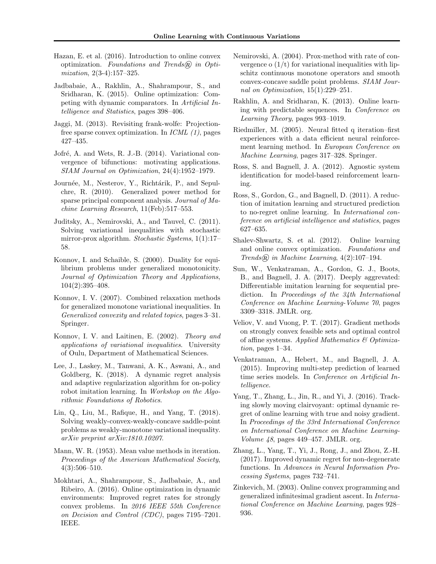- Hazan, E. et al. (2016). Introduction to online convex optimization. Foundations and Trends $\widehat{R}$  in Optimization, 2(3-4):157–325.
- Jadbabaie, A., Rakhlin, A., Shahrampour, S., and Sridharan, K. (2015). Online optimization: Competing with dynamic comparators. In Artificial Intelligence and Statistics, pages 398–406.
- Jaggi, M. (2013). Revisiting frank-wolfe: Projectionfree sparse convex optimization. In  $ICML$  (1), pages 427–435.
- Jofré, A. and Wets, R. J.-B. (2014). Variational convergence of bifunctions: motivating applications. SIAM Journal on Optimization, 24(4):1952–1979.
- Journée, M., Nesterov, Y., Richtárik, P., and Sepulchre, R. (2010). Generalized power method for sparse principal component analysis. Journal of Machine Learning Research, 11(Feb):517–553.
- Juditsky, A., Nemirovski, A., and Tauvel, C. (2011). Solving variational inequalities with stochastic mirror-prox algorithm. Stochastic Systems, 1(1):17– 58.
- Konnov, I. and Schaible, S. (2000). Duality for equilibrium problems under generalized monotonicity. Journal of Optimization Theory and Applications, 104(2):395–408.
- Konnov, I. V. (2007). Combined relaxation methods for generalized monotone variational inequalities. In Generalized convexity and related topics, pages 3–31. Springer.
- Konnov, I. V. and Laitinen, E. (2002). Theory and applications of variational inequalities. University of Oulu, Department of Mathematical Sciences.
- Lee, J., Laskey, M., Tanwani, A. K., Aswani, A., and Goldberg, K. (2018). A dynamic regret analysis and adaptive regularization algorithm for on-policy robot imitation learning. In Workshop on the Algorithmic Foundations of Robotics.
- Lin, Q., Liu, M., Rafique, H., and Yang, T. (2018). Solving weakly-convex-weakly-concave saddle-point problems as weakly-monotone variational inequality. arXiv preprint arXiv:1810.10207.
- Mann, W. R. (1953). Mean value methods in iteration. Proceedings of the American Mathematical Society, 4(3):506–510.
- Mokhtari, A., Shahrampour, S., Jadbabaie, A., and Ribeiro, A. (2016). Online optimization in dynamic environments: Improved regret rates for strongly convex problems. In 2016 IEEE 55th Conference on Decision and Control (CDC), pages 7195–7201. IEEE.
- Nemirovski, A. (2004). Prox-method with rate of convergence o  $(1/t)$  for variational inequalities with lipschitz continuous monotone operators and smooth convex-concave saddle point problems. SIAM Journal on Optimization, 15(1):229–251.
- Rakhlin, A. and Sridharan, K. (2013). Online learning with predictable sequences. In Conference on Learning Theory, pages 993–1019.
- Riedmiller, M. (2005). Neural fitted q iteration–first experiences with a data efficient neural reinforcement learning method. In European Conference on Machine Learning, pages 317–328. Springer.
- Ross, S. and Bagnell, J. A. (2012). Agnostic system identification for model-based reinforcement learning.
- Ross, S., Gordon, G., and Bagnell, D. (2011). A reduction of imitation learning and structured prediction to no-regret online learning. In International conference on artificial intelligence and statistics, pages 627–635.
- Shalev-Shwartz, S. et al. (2012). Online learning and online convex optimization. Foundations and Trends $\widehat{R}$  in Machine Learning, 4(2):107-194.
- Sun, W., Venkatraman, A., Gordon, G. J., Boots, B., and Bagnell, J. A. (2017). Deeply aggrevated: Differentiable imitation learning for sequential prediction. In Proceedings of the 34th International Conference on Machine Learning-Volume 70, pages 3309–3318. JMLR. org.
- Veliov, V. and Vuong, P. T. (2017). Gradient methods on strongly convex feasible sets and optimal control of affine systems. Applied Mathematics  $\mathcal{C}$  Optimization, pages 1–34.
- Venkatraman, A., Hebert, M., and Bagnell, J. A. (2015). Improving multi-step prediction of learned time series models. In Conference on Artificial Intelligence.
- Yang, T., Zhang, L., Jin, R., and Yi, J. (2016). Tracking slowly moving clairvoyant: optimal dynamic regret of online learning with true and noisy gradient. In Proceedings of the 33rd International Conference on International Conference on Machine Learning-Volume 48, pages 449–457. JMLR. org.
- Zhang, L., Yang, T., Yi, J., Rong, J., and Zhou, Z.-H. (2017). Improved dynamic regret for non-degenerate functions. In Advances in Neural Information Processing Systems, pages 732–741.
- Zinkevich, M. (2003). Online convex programming and generalized infinitesimal gradient ascent. In International Conference on Machine Learning, pages 928– 936.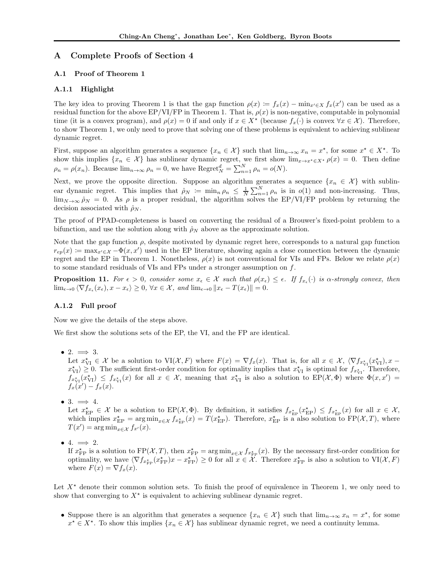## A Complete Proofs of Section 4

## A.1 Proof of Theorem 1

## A.1.1 Highlight

The key idea to proving Theorem 1 is that the gap function  $\rho(x) = f_x(x) - \min_{x' \in X} f_x(x')$  can be used as a residual function for the above  $EP/VI/FP$  in Theorem 1. That is,  $\rho(x)$  is non-negative, computable in polynomial time (it is a convex program), and  $\rho(x) = 0$  if and only if  $x \in X^*$  (because  $f_x(\cdot)$  is convex  $\forall x \in \mathcal{X}$ ). Therefore, to show Theorem 1, we only need to prove that solving one of these problems is equivalent to achieving sublinear dynamic regret.

First, suppose an algorithm generates a sequence  $\{x_n \in \mathcal{X}\}\$  such that  $\lim_{n\to\infty} x_n = x^*$ , for some  $x^* \in X^*$ . To show this implies  $\{x_n \in \mathcal{X}\}\$  has sublinear dynamic regret, we first show  $\lim_{x \to x^* \in X^*} \rho(x) = 0$ . Then define  $\rho_n = \rho(x_n)$ . Because  $\lim_{n \to \infty} \rho_n = 0$ , we have  $\text{Regret}_N^d = \sum_{n=1}^N \rho_n = o(N)$ .

Next, we prove the opposite direction. Suppose an algorithm generates a sequence  $\{x_n \in \mathcal{X}\}\$  with sublinear dynamic regret. This implies that  $\rho_N := \min_n \rho_n \leq \frac{1}{N} \sum_{n=1}^N \rho_n$  is in  $o(1)$  and non-increasing. Thus,  $\lim_{N\to\infty} \hat{\rho}_N = 0$ . As  $\rho$  is a proper residual, the algorithm solves the EP/VI/FP problem by returning the decision associated with  $\rho_N$ .

The proof of PPAD-completeness is based on converting the residual of a Brouwer's fixed-point problem to a bifunction, and use the solution along with  $\rho_N$  above as the approximate solution.

Note that the gap function  $\rho$ , despite motivated by dynamic regret here, corresponds to a natural gap function  $r_{ep}(x) := \max_{x' \in \mathcal{X}} -\Phi(x, x')$  used in the EP literature, showing again a close connection between the dynamic regret and the EP in Theorem 1. Nonetheless,  $\rho(x)$  is not conventional for VIs and FPs. Below we relate  $\rho(x)$ to some standard residuals of VIs and FPs under a stronger assumption on f.

**Proposition 11.** For  $\epsilon > 0$ , consider some  $x_{\epsilon} \in \mathcal{X}$  such that  $\rho(x_{\epsilon}) \leq \epsilon$ . If  $f_{x_{\epsilon}}(\cdot)$  is  $\alpha$ -strongly convex, then  $\lim_{\epsilon \to 0} \langle \nabla f_{x_\epsilon}(x_\epsilon), x - x_\epsilon \rangle \ge 0, \forall x \in \mathcal{X}, \text{ and } \lim_{\epsilon \to 0} ||x_\epsilon - T(x_\epsilon)|| = 0.$ 

## A.1.2 Full proof

Now we give the details of the steps above.

We first show the solutions sets of the EP, the VI, and the FP are identical.

• 2.  $\implies$  3.

Let  $x_{\rm VI}^* \in \mathcal{X}$  be a solution to  $\text{VI}(\mathcal{X}, F)$  where  $F(x) = \nabla f_x(x)$ . That is, for all  $x \in \mathcal{X}$ ,  $\langle \nabla f_{x_{\rm VI}}(x_{\rm VI}^*)$ ,  $x$  $x_{\rm VI}^* \geq 0$ . The sufficient first-order condition for optimality implies that  $x_{\rm VI}^*$  is optimal for  $f_{x_{\rm VI}^*}$ . Therefore,  $f_{x_{\rm VI}}(x_{\rm VI}) \leq f_{x_{\rm VI}}(x)$  for all  $x \in \mathcal{X}$ , meaning that  $x_{\rm VI}^*$  is also a solution to  $EP(\mathcal{X}, \Phi)$  where  $\Phi(x, x') =$  $f_x(x') - f_x(x)$ .

• 3.  $\implies$  4.

Let  $x_{\text{EP}}^{\star} \in \mathcal{X}$  be a solution to  $\text{EP}(\mathcal{X}, \Phi)$ . By definition, it satisfies  $f_{x_{\text{EP}}^{\star}}(x_{\text{EP}}^{\star}) \leq f_{x_{\text{EP}}^{\star}}(x)$  for all  $x \in \mathcal{X}$ , which implies  $x_{\text{EP}}^* = \arg \min_{x \in \mathcal{X}} f_{x_{\text{EP}}^*}(x) = T(x_{\text{EP}}^*)$ . Therefore,  $x_{\text{EP}}^*$  is a also solution to  $\text{FP}(\mathcal{X}, T)$ , where  $T(x') = \arg \min_{x \in \mathcal{X}} f_{x'}(x).$ 

• 4.  $\implies$  2.

If  $x_{\text{FP}}^*$  is a solution to  $\text{FP}(\mathcal{X}, T)$ , then  $x_{\text{FP}}^* = \arg \min_{x \in \mathcal{X}} f_{x_{\text{FP}}^*}(x)$ . By the necessary first-order condition for optimality, we have  $\langle \nabla f_{x_{\text{FP}}}(\mathbf{x}_\text{FP}) | x - x_{\text{FP}}^* \rangle \ge 0$  for all  $x \in \mathcal{X}$ . Therefore  $x_{\text{FP}}^*$  is also a solution to  $VI(\mathcal{X}, F)$ where  $F(x) = \nabla f_x(x)$ .

Let  $X^*$  denote their common solution sets. To finish the proof of equivalence in Theorem 1, we only need to show that converging to  $X^*$  is equivalent to achieving sublinear dynamic regret.

• Suppose there is an algorithm that generates a sequence  $\{x_n \in \mathcal{X}\}\$  such that  $\lim_{n\to\infty} x_n = x^*$ , for some  $x^* \in X^*$ . To show this implies  $\{x_n \in \mathcal{X}\}\$  has sublinear dynamic regret, we need a continuity lemma.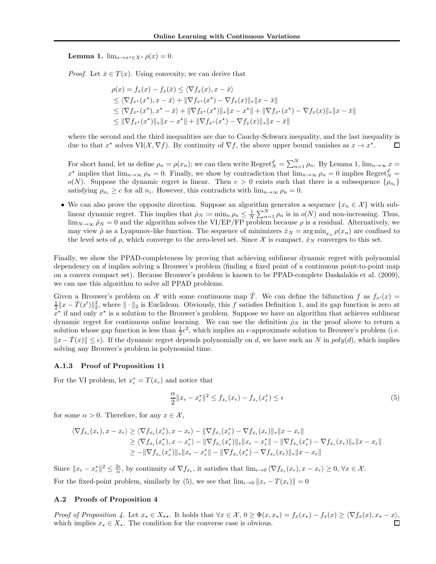Lemma 1.  $\lim_{x \to x^* \in X^*} \rho(x) = 0$ .

*Proof.* Let  $\bar{x} \in T(x)$ . Using convexity, we can derive that

$$
\rho(x) = f_x(x) - f_x(\bar{x}) \le \langle \nabla f_x(x), x - \bar{x} \rangle
$$
  
\n
$$
\le \langle \nabla f_{x^*}(x^*), x - \bar{x} \rangle + \|\nabla f_{x^*}(x^*) - \nabla f_x(x)\|_{*} \|x - \bar{x}\|
$$
  
\n
$$
\le \langle \nabla f_{x^*}(x^*), x^* - \bar{x} \rangle + \|\nabla f_{x^*}(x^*)\|_{*} \|x - x^*\| + \|\nabla f_{x^*}(x^*) - \nabla f_x(x)\|_{*} \|x - \bar{x}\|
$$
  
\n
$$
\le \|\nabla f_{x^*}(x^*)\|_{*} \|x - x^*\| + \|\nabla f_{x^*}(x^*) - \nabla f_x(x)\|_{*} \|x - \bar{x}\|
$$

where the second and the third inequalities are due to Cauchy-Schwarz inequality, and the last inequality is due to that  $x^*$  solves  $VI(\mathcal{X}, \nabla f)$ . By continuity of  $\nabla f$ , the above upper bound vanishes as  $x \to x^*$ .  $\Box$ 

For short hand, let us define  $\rho_n = \rho(x_n)$ ; we can then write  $\text{Regret}_N^d = \sum_{n=1}^N \rho_n$ . By Lemma 1,  $\lim_{n \to \infty} x =$  $x^*$  implies that  $\lim_{n\to\infty}\rho_n=0$ . Finally, we show by contradiction that  $\lim_{n\to\infty}\rho_n=0$  implies  $\text{Regret}_N^d=0$ o(N). Suppose the dynamic regret is linear. Then  $c > 0$  exists such that there is a subsequence  $\{\rho_{n_i}\}$ satisfying  $\rho_{n_i} \geq c$  for all  $n_i$ . However, this contradicts with  $\lim_{n\to\infty} \rho_n = 0$ .

• We can also prove the opposite direction. Suppose an algorithm generates a sequence  $\{x_n \in \mathcal{X}\}\$  with sublinear dynamic regret. This implies that  $\rho_N := \min_n \rho_n \leq \frac{1}{N} \sum_{n=1}^N \rho_n$  is in  $o(N)$  and non-increasing. Thus,  $\lim_{N\to\infty}\hat{\rho}_N=0$  and the algorithm solves the VI/EP/FP problem because  $\rho$  is a residual. Alternatively, we may view  $\hat{\rho}$  as a Lyapunov-like function. The sequence of minimizers  $\hat{x}_N = \arg\min_{x_n} \rho(x_n)$  are confined to the level sets of  $\rho$ , which converge to the zero-level set. Since X is compact,  $\hat{x}_N$  converges to this set.

Finally, we show the PPAD-completeness by proving that achieving sublinear dynamic regret with polynomial dependency on d implies solving a Brouwer's problem (finding a fixed point of a continuous point-to-point map on a convex compact set). Because Brouwer's problem is known to be PPAD-complete Daskalakis et al. (2009), we can use this algorithm to solve all PPAD problems.

Given a Brouwer's problem on X with some continuous map  $\hat{T}$ . We can define the bifunction f as  $f_{x'}(x)$  =  $\frac{1}{2}||x-\hat{T}(x')||_2^2$ , where  $||\cdot||_2$  is Euclidean. Obviously, this f satisfies Definition 1, and its gap function is zero at  $x^*$  if and only  $x^*$  is a solution to the Brouwer's problem. Suppose we have an algorithm that achieves sublinear dynamic regret for continuous online learning. We can use the definition  $\rho_N$  in the proof above to return a solution whose gap function is less than  $\frac{1}{2}\epsilon^2$ , which implies an  $\epsilon$ -approximate solution to Brouwer's problem (i.e.  $||x - \hat{T}(x)|| < \epsilon$ ). If the dynamic regret depends polynomially on d, we have such an N in  $poly(d)$ , which implies solving any Brouwer's problem in polynomial time.

## A.1.3 Proof of Proposition 11

For the VI problem, let  $x_{\epsilon}^* = T(x_{\epsilon})$  and notice that

$$
\frac{\alpha}{2} \|x_{\epsilon} - x_{\epsilon}^*\|^2 \le f_{x_{\epsilon}}(x_{\epsilon}) - f_{x_{\epsilon}}(x_{\epsilon}^*) \le \epsilon \tag{5}
$$

for some  $\alpha > 0$ . Therefore, for any  $x \in \mathcal{X}$ ,

$$
\langle \nabla f_{x_{\epsilon}}(x_{\epsilon}), x - x_{\epsilon} \rangle \geq \langle \nabla f_{x_{\epsilon}}(x_{\epsilon}^{*}), x - x_{\epsilon} \rangle - \|\nabla f_{x_{\epsilon}}(x_{\epsilon}^{*}) - \nabla f_{x_{\epsilon}}(x_{\epsilon})\|_{*} \|x - x_{\epsilon}\|
$$
  
\n
$$
\geq \langle \nabla f_{x_{\epsilon}}(x_{\epsilon}^{*}), x - x_{\epsilon}^{*} \rangle - \|\nabla f_{x_{\epsilon}}(x_{\epsilon}^{*})\|_{*} \|x_{\epsilon} - x_{\epsilon}^{*}\| - \|\nabla f_{x_{\epsilon}}(x_{\epsilon}^{*}) - \nabla f_{x_{\epsilon}}(x_{\epsilon})\|_{*} \|x - x_{\epsilon}\|
$$
  
\n
$$
\geq -\|\nabla f_{x_{\epsilon}}(x_{\epsilon}^{*})\|_{*} \|x_{\epsilon} - x_{\epsilon}^{*}\| - \|\nabla f_{x_{\epsilon}}(x_{\epsilon}^{*}) - \nabla f_{x_{\epsilon}}(x_{\epsilon})\|_{*} \|x - x_{\epsilon}\|
$$

Since  $||x_{\epsilon}-x_{\epsilon}^*||^2 \leq \frac{2\epsilon}{\alpha}$ , by continuity of  $\nabla f_{x_{\epsilon}}$ , it satisfies that  $\lim_{\epsilon \to 0} \langle \nabla f_{x_{\epsilon}}(x_{\epsilon}), x - x_{\epsilon} \rangle \geq 0$ ,  $\forall x \in \mathcal{X}$ . For the fixed-point problem, similarly by (5), we see that  $\lim_{\epsilon \to 0} ||x_{\epsilon} - T(x_{\epsilon})|| = 0$ 

#### A.2 Proofs of Proposition 4

Proof of Proposition 4. Let  $x_{\star} \in X_{\star\star}$ . It holds that  $\forall x \in \mathcal{X}, 0 \geq \Phi(x, x_{\star}) = f_x(x_{\star}) - f_x(x) \geq \langle \nabla f_x(x), x_{\star} - x \rangle$ which implies  $x_\star \in X_\star$ . The condition for the converse case is obvious.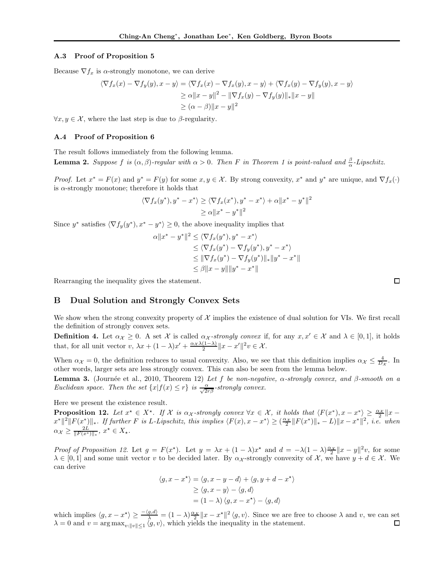## A.3 Proof of Proposition 5

Because  $\nabla f_x$  is  $\alpha$ -strongly monotone, we can derive

$$
\langle \nabla f_x(x) - \nabla f_y(y), x - y \rangle = \langle \nabla f_x(x) - \nabla f_x(y), x - y \rangle + \langle \nabla f_x(y) - \nabla f_y(y), x - y \rangle
$$
  
\n
$$
\ge \alpha ||x - y||^2 - ||\nabla f_x(y) - \nabla f_y(y)||_* ||x - y||
$$
  
\n
$$
\ge (\alpha - \beta) ||x - y||^2
$$

 $\forall x, y \in \mathcal{X}$ , where the last step is due to  $\beta$ -regularity.

## A.4 Proof of Proposition 6

The result follows immediately from the following lemma. **Lemma 2.** Suppose f is  $(\alpha, \beta)$ -regular with  $\alpha > 0$ . Then F in Theorem 1 is point-valued and  $\frac{\beta}{\alpha}$ -Lipschitz.

*Proof.* Let  $x^* = F(x)$  and  $y^* = F(y)$  for some  $x, y \in \mathcal{X}$ . By strong convexity,  $x^*$  and  $y^*$  are unique, and  $\nabla f_x(\cdot)$ is  $\alpha$ -strongly monotone; therefore it holds that

$$
\langle \nabla f_x(y^*), y^* - x^* \rangle \ge \langle \nabla f_x(x^*), y^* - x^* \rangle + \alpha ||x^* - y^*||^2
$$
  
 
$$
\ge \alpha ||x^* - y^*||^2
$$

Since  $y^*$  satisfies  $\langle \nabla f_y(y^*), x^* - y^* \rangle \ge 0$ , the above inequality implies that

$$
\alpha \|x^* - y^*\|^2 \le \langle \nabla f_x(y^*), y^* - x^* \rangle
$$
  
\n
$$
\le \langle \nabla f_x(y^*) - \nabla f_y(y^*), y^* - x^* \rangle
$$
  
\n
$$
\le \|\nabla f_x(y^*) - \nabla f_y(y^*)\|_* \|y^* - x^*\|
$$
  
\n
$$
\le \beta \|x - y\| \|y^* - x^*\|
$$

Rearranging the inequality gives the statement.

## B Dual Solution and Strongly Convex Sets

We show when the strong convexity property of  $\mathcal X$  implies the existence of dual solution for VIs. We first recall the definition of strongly convex sets.

**Definition 4.** Let  $\alpha_{\mathcal{X}} \geq 0$ . A set X is called  $\alpha_{\mathcal{X}}$ -strongly convex if, for any  $x, x' \in \mathcal{X}$  and  $\lambda \in [0, 1]$ , it holds that, for all unit vector  $v, \lambda x + (1 - \lambda)x' + \frac{\alpha x \lambda(1 - \lambda)}{2} ||x - x'||^2 v \in \mathcal{X}$ .

When  $\alpha_{\mathcal{X}} = 0$ , the definition reduces to usual convexity. Also, we see that this definition implies  $\alpha_{\mathcal{X}} \leq \frac{4}{D_{\mathcal{X}}}$ . In other words, larger sets are less strongly convex. This can also be seen from the lemma below.

**Lemma 3.** (Journée et al., 2010, Theorem 12) Let f be non-negative,  $\alpha$ -strongly convex, and β-smooth on a Euclidean space. Then the set  $\{x|f(x) \leq r\}$  is  $\frac{\alpha}{\sqrt{2r\beta}}$ -strongly convex.

Here we present the existence result.

**Proposition 12.** Let  $x^* \in X^*$ . If X is  $\alpha_{\mathcal{X}}$ -strongly convex  $\forall x \in \mathcal{X}$ , it holds that  $\langle F(x^*), x - x^* \rangle \geq \frac{\alpha_{\mathcal{X}}}{2} ||x - x^*||$  $\|x^*\|^2 \|F(x^*)\|_*$ . If further F is L-Lipschitz, this implies  $\langle F(x), x - x^* \rangle \geq \left(\frac{\alpha_X}{2} \|F(x^*)\|_* - L\right) \|x - x^*\|^2$ , i.e. when  $\alpha_{\mathcal{X}} \geq \frac{2L}{\|F(x^*)\|_*}, x^* \in X_*.$ 

Proof of Proposition 12. Let  $g = F(x^*)$ . Let  $y = \lambda x + (1 - \lambda)x^*$  and  $d = -\lambda(1 - \lambda)\frac{\alpha x}{2}||x - y||^2v$ , for some  $\lambda \in [0,1]$  and some unit vector v to be decided later. By  $\alpha_{\mathcal{X}}$ -strongly convexity of X, we have  $y + d \in \mathcal{X}$ . We can derive

$$
\langle g, x - x^* \rangle = \langle g, x - y - d \rangle + \langle g, y + d - x^* \rangle
$$
  
\n
$$
\geq \langle g, x - y \rangle - \langle g, d \rangle
$$
  
\n
$$
= (1 - \lambda) \langle g, x - x^* \rangle - \langle g, d \rangle
$$

which implies  $\langle g, x - x^* \rangle \ge \frac{-\langle g, d \rangle}{\lambda} = (1 - \lambda) \frac{\alpha x}{2} ||x - x^*||^2 \langle g, v \rangle$ . Since we are free to choose  $\lambda$  and v, we can set  $\lambda = 0$  and  $v = \arg \max_{v: ||v|| \le 1} \langle g, v \rangle$ , which yields the inequality in the statement.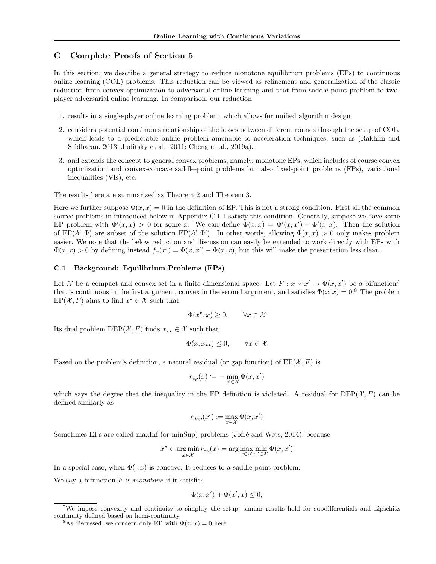## C Complete Proofs of Section 5

In this section, we describe a general strategy to reduce monotone equilibrium problems (EPs) to continuous online learning (COL) problems. This reduction can be viewed as refinement and generalization of the classic reduction from convex optimization to adversarial online learning and that from saddle-point problem to twoplayer adversarial online learning. In comparison, our reduction

- 1. results in a single-player online learning problem, which allows for unified algorithm design
- 2. considers potential continuous relationship of the losses between different rounds through the setup of COL, which leads to a predictable online problem amenable to acceleration techniques, such as (Rakhlin and Sridharan, 2013; Juditsky et al., 2011; Cheng et al., 2019a).
- 3. and extends the concept to general convex problems, namely, monotone EPs, which includes of course convex optimization and convex-concave saddle-point problems but also fixed-point problems (FPs), variational inequalities (VIs), etc.

The results here are summarized as Theorem 2 and Theorem 3.

Here we further suppose  $\Phi(x, x) = 0$  in the definition of EP. This is not a strong condition. First all the common source problems in introduced below in Appendix C.1.1 satisfy this condition. Generally, suppose we have some EP problem with  $\Phi'(x,x) > 0$  for some x. We can define  $\Phi(x,x) = \Phi'(x,x') - \Phi'(x,x)$ . Then the solution of  $EP(\mathcal{X}, \Phi)$  are subset of the solution  $EP(\mathcal{X}, \Phi')$ . In other words, allowing  $\Phi(x, x) > 0$  only makes problem easier. We note that the below reduction and discussion can easily be extended to work directly with EPs with  $\Phi(x, x) > 0$  by defining instead  $f_x(x') = \Phi(x, x') - \Phi(x, x)$ , but this will make the presentation less clean.

## C.1 Background: Equilibrium Problems (EPs)

Let X be a compact and convex set in a finite dimensional space. Let  $F: x \times x' \mapsto \Phi(x, x')$  be a bifunction<sup>7</sup> that is continuous in the first argument, convex in the second argument, and satisfies  $\Phi(x, x) = 0$ .<sup>8</sup> The problem  $EP(X, F)$  aims to find  $x^* \in \mathcal{X}$  such that

$$
\Phi(x^\star, x) \ge 0, \qquad \forall x \in \mathcal{X}
$$

Its dual problem DEP( $\mathcal{X}, F$ ) finds  $x_{**} \in \mathcal{X}$  such that

$$
\Phi(x, x_{\star \star}) \le 0, \qquad \forall x \in \mathcal{X}
$$

Based on the problem's definition, a natural residual (or gap function) of  $EP(X, F)$  is

$$
r_{ep}(x) \coloneqq -\min_{x' \in \mathcal{X}} \Phi(x, x')
$$

which says the degree that the inequality in the EP definition is violated. A residual for  $DEF(X, F)$  can be defined similarly as

$$
r_{dep}(x') \coloneqq \max_{x \in \mathcal{X}} \Phi(x, x')
$$

Sometimes EPs are called maxInf (or minSup) problems (Jofré and Wets, 2014), because

$$
x^* \in \operatorname*{arg\,min}_{x \in \mathcal{X}} r_{ep}(x) = \operatorname*{arg\,max}_{x \in \mathcal{X}} \min_{x' \in \mathcal{X}} \Phi(x, x')
$$

In a special case, when  $\Phi(\cdot, x)$  is concave. It reduces to a saddle-point problem.

We say a bifunction  $F$  is monotone if it satisfies

$$
\Phi(x, x') + \Phi(x', x) \le 0,
$$

<sup>&</sup>lt;sup>7</sup>We impose convexity and continuity to simplify the setup; similar results hold for subdifferentials and Lipschitz continuity defined based on hemi-continuity.

<sup>&</sup>lt;sup>8</sup>As discussed, we concern only EP with  $\Phi(x, x) = 0$  here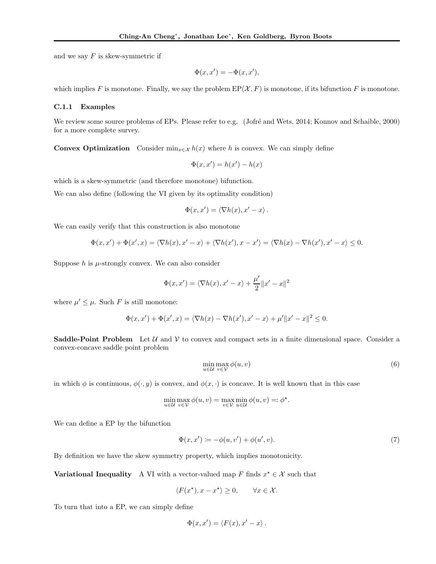and we say  $F$  is skew-symmetric if

$$
\Phi(x, x') = -\Phi(x, x'),
$$

which implies F is monotone. Finally, we say the problem  $EP(X, F)$  is monotone, if its bifunction F is monotone.

## C.1.1 Examples

We review some source problems of EPs. Please refer to e.g. (Jofré and Wets, 2014; Konnov and Schaible, 2000) for a more complete survey.

**Convex Optimization** Consider min<sub>x∈X</sub>  $h(x)$  where h is convex. We can simply define

$$
\Phi(x, x') = h(x') - h(x)
$$

which is a skew-symmetric (and therefore monotone) bifunction.

We can also define (following the VI given by its optimality condition)

$$
\Phi(x, x') = \langle \nabla h(x), x' - x \rangle.
$$

We can easily verify that this construction is also monotone

$$
\Phi(x, x') + \Phi(x', x) = \langle \nabla h(x), x' - x \rangle + \langle \nabla h(x'), x - x' \rangle = \langle \nabla h(x) - \nabla h(x'), x' - x \rangle \le 0.
$$

Suppose  $h$  is  $\mu$ -strongly convex. We can also consider

$$
\Phi(x, x') = \langle \nabla h(x), x' - x \rangle + \frac{\mu'}{2} ||x' - x||^2
$$

where  $\mu' \leq \mu$ . Such F is still monotone:

$$
\Phi(x, x') + \Phi(x', x) = \langle \nabla h(x) - \nabla h(x'), x' - x \rangle + \mu' \|x' - x\|^2 \le 0.
$$

**Saddle-Point Problem** Let  $U$  and  $V$  to convex and compact sets in a finite dimensional space. Consider a convex-concave saddle point problem

$$
\min_{u \in \mathcal{U}} \max_{v \in \mathcal{V}} \phi(u, v) \tag{6}
$$

in which  $\phi$  is continuous,  $\phi(\cdot, y)$  is convex, and  $\phi(x, \cdot)$  is concave. It is well known that in this case

$$
\min_{u \in \mathcal{U}} \max_{v \in \mathcal{V}} \phi(u, v) = \max_{v \in \mathcal{V}} \min_{u \in \mathcal{U}} \phi(u, v) =: \phi^*.
$$

We can define a EP by the bifunction

$$
\Phi(x, x') \coloneqq -\phi(u, v') + \phi(u', v). \tag{7}
$$

By definition we have the skew symmetry property, which implies monotonicity.

**Variational Inequality** A VI with a vector-valued map F finds  $x^* \in \mathcal{X}$  such that

$$
\langle F(x^{\star}), x - x^{\star} \rangle \ge 0, \qquad \forall x \in \mathcal{X}.
$$

To turn that into a EP, we can simply define

$$
\Phi(x, x') = \langle F(x), x' - x \rangle.
$$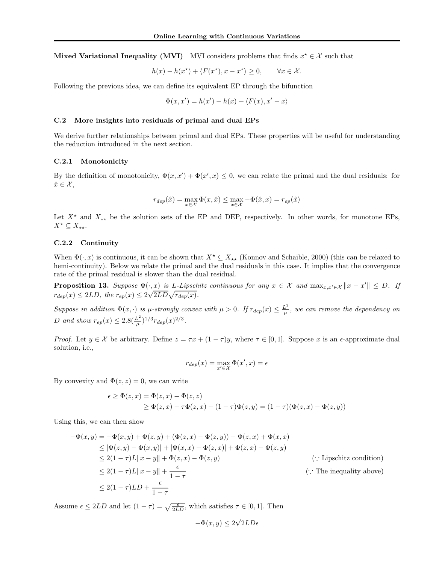Mixed Variational Inequality (MVI) MVI considers problems that finds  $x^* \in \mathcal{X}$  such that

$$
h(x) - h(x^*) + \langle F(x^*), x - x^* \rangle \ge 0, \qquad \forall x \in \mathcal{X}.
$$

Following the previous idea, we can define its equivalent EP through the bifunction

$$
\Phi(x, x') = h(x') - h(x) + \langle F(x), x' - x \rangle
$$

### C.2 More insights into residuals of primal and dual EPs

We derive further relationships between primal and dual EPs. These properties will be useful for understanding the reduction introduced in the next section.

## C.2.1 Monotonicity

By the definition of monotonicity,  $\Phi(x, x') + \Phi(x', x) \leq 0$ , we can relate the primal and the dual residuals: for  $\hat{x} \in \mathcal{X},$ 

$$
r_{dep}(\hat{x}) = \max_{x \in \mathcal{X}} \Phi(x, \hat{x}) \le \max_{x \in \mathcal{X}} -\Phi(\hat{x}, x) = r_{ep}(\hat{x})
$$

Let  $X^*$  and  $X_{**}$  be the solution sets of the EP and DEP, respectively. In other words, for monotone EPs,  $X^{\star} \subseteq X_{\star \star}$ .

## C.2.2 Continuity

When  $\Phi(\cdot, x)$  is continuous, it can be shown that  $X^* \subseteq X_{**}$  (Konnov and Schaible, 2000) (this can be relaxed to hemi-continuity). Below we relate the primal and the dual residuals in this case. It implies that the convergence rate of the primal residual is slower than the dual residual.

**Proposition 13.** Suppose  $\Phi(\cdot, \underline{x})$  is L-Lipschitz continuous for any  $x \in \mathcal{X}$  and  $\max_{x,x' \in \mathcal{X}} ||x - x'|| \leq D$ . If  $r_{dep}(x) \leq 2LD$ , the  $r_{ep}(x) \leq 2\sqrt{2LD}\sqrt{r_{dep}(x)}$ .

Suppose in addition  $\Phi(x, \cdot)$  is  $\mu$ -strongly convex with  $\mu > 0$ . If  $r_{dep}(x) \leq \frac{L^2}{\mu}$  $\frac{L^2}{\mu}$ , we can remove the dependency on D and show  $r_{ep}(x) \leq 2.8(\frac{L^2}{\mu})$  $\frac{L^2}{\mu})^{1/3} r_{dep}(x)^{2/3}.$ 

*Proof.* Let  $y \in \mathcal{X}$  be arbitrary. Define  $z = \tau x + (1 - \tau)y$ , where  $\tau \in [0, 1]$ . Suppose x is an  $\epsilon$ -approximate dual solution, i.e.,

$$
r_{dep}(x) = \max_{x' \in \mathcal{X}} \Phi(x', x) = \epsilon
$$

By convexity and  $\Phi(z, z) = 0$ , we can write

$$
\epsilon \ge \Phi(z, x) = \Phi(z, x) - \Phi(z, z)
$$
  
 
$$
\ge \Phi(z, x) - \tau \Phi(z, x) - (1 - \tau) \Phi(z, y) = (1 - \tau) (\Phi(z, x) - \Phi(z, y))
$$

Using this, we can then show

$$
-\Phi(x,y) = -\Phi(x,y) + \Phi(z,y) + (\Phi(z,x) - \Phi(z,y)) - \Phi(z,x) + \Phi(x,x)
$$
  
\n
$$
\leq |\Phi(z,y) - \Phi(x,y)| + |\Phi(x,x) - \Phi(z,x)| + \Phi(z,x) - \Phi(z,y)
$$
  
\n
$$
\leq 2(1-\tau)L||x-y|| + \Phi(z,x) - \Phi(z,y)
$$
  
\n
$$
\leq 2(1-\tau)L||x-y|| + \frac{\epsilon}{1-\tau}
$$
  
\n
$$
\leq 2(1-\tau)LD + \frac{\epsilon}{1-\tau}
$$
  
\n
$$
( \because \text{The inequality above})
$$

Assume  $\epsilon \leq 2LD$  and let  $(1 - \tau) = \sqrt{\frac{\epsilon}{2LD}}$ , which satisfies  $\tau \in [0, 1]$ . Then

$$
-\Phi(x,y) \le 2\sqrt{2LD\epsilon}
$$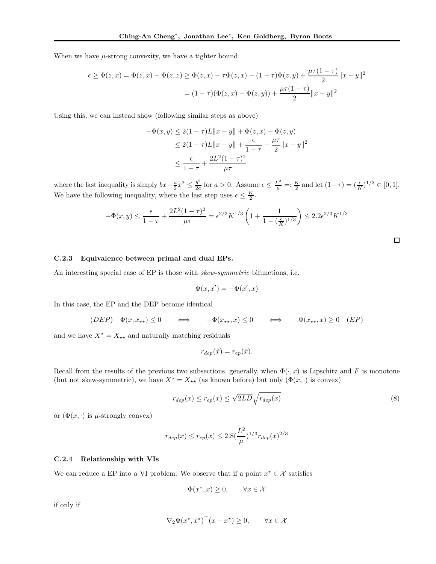When we have  $\mu$ -strong convexity, we have a tighter bound

$$
\epsilon \ge \Phi(z, x) = \Phi(z, x) - \Phi(z, z) \ge \Phi(z, x) - \tau \Phi(z, x) - (1 - \tau) \Phi(z, y) + \frac{\mu \tau (1 - \tau)}{2} ||x - y||^2
$$

$$
= (1 - \tau) (\Phi(z, x) - \Phi(z, y)) + \frac{\mu \tau (1 - \tau)}{2} ||x - y||^2
$$

Using this, we can instead show (following similar steps as above)

$$
-\Phi(x, y) \le 2(1 - \tau)L||x - y|| + \Phi(z, x) - \Phi(z, y)
$$
  
\n
$$
\le 2(1 - \tau)L||x - y|| + \frac{\epsilon}{1 - \tau} - \frac{\mu\tau}{2}||x - y||^2
$$
  
\n
$$
\le \frac{\epsilon}{1 - \tau} + \frac{2L^2(1 - \tau)^2}{\mu\tau}
$$

where the last inequality is simply  $bx - \frac{a}{2}x^2 \leq \frac{b^2}{2a}$  $\frac{b^2}{2a}$  for  $a > 0$ . Assume  $\epsilon \le \frac{L^2}{\mu} =: \frac{K}{2}$  and let  $(1 - \tau) = (\frac{\epsilon}{K})^{1/3} \in [0, 1]$ . We have the following inequality, where the last step uses  $\epsilon \leq \frac{K}{2}$ .

$$
-\Phi(x,y) \le \frac{\epsilon}{1-\tau} + \frac{2L^2(1-\tau)^2}{\mu\tau} = \epsilon^{2/3} K^{1/3} \left(1 + \frac{1}{1-(\frac{\epsilon}{K})^{1/3}}\right) \le 2.2\epsilon^{2/3} K^{1/3}
$$

 $\Box$ 

## C.2.3 Equivalence between primal and dual EPs.

An interesting special case of EP is those with *skew-symmetric* bifunctions, i.e.

$$
\Phi(x, x') = -\Phi(x', x)
$$

In this case, the EP and the DEP become identical

 $(DEP) \quad \Phi(x, x_{**}) \leq 0 \quad \iff \quad -\Phi(x_{**}, x) \leq 0 \quad \iff \quad \Phi(x_{**}, x) \geq 0 \quad (EP)$ 

and we have  $X^\star = X_{\star\star}$  and naturally matching residuals

$$
r_{dep}(\hat{x}) = r_{ep}(\hat{x}).
$$

Recall from the results of the previous two subsections, generally, when  $\Phi(\cdot, x)$  is Lipschitz and F is monotone (but not skew-symmetric), we have  $X^* = X_{**}$  (as known before) but only  $(\Phi(x, \cdot))$  is convex)

$$
r_{dep}(x) \le r_{ep}(x) \le \sqrt{2LD} \sqrt{r_{dep}(x)}
$$
\n(8)

or  $(\Phi(x, \cdot)$  is  $\mu$ -strongly convex)

$$
r_{dep}(x) \le r_{ep}(x) \le 2.8(\frac{L^2}{\mu})^{1/3} r_{dep}(x)^{2/3}
$$

#### C.2.4 Relationship with VIs

We can reduce a EP into a VI problem. We observe that if a point  $x^* \in \mathcal{X}$  satisfies

$$
\Phi(x^\star, x) \ge 0, \qquad \forall x \in \mathcal{X}
$$

if only if

$$
\nabla_2 \Phi(x^\star, x^\star)^\top (x - x^\star) \ge 0, \qquad \forall x \in \mathcal{X}
$$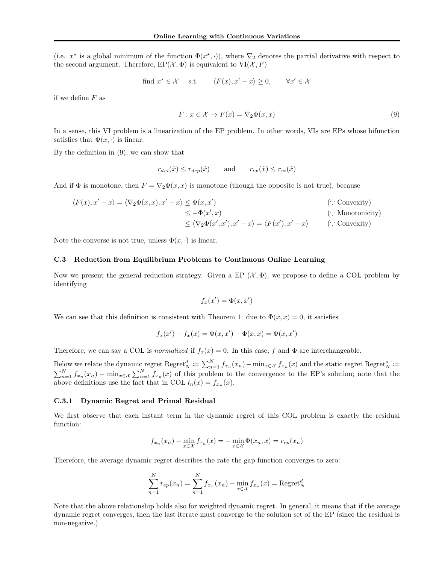(i.e.  $x^*$  is a global minimum of the function  $\Phi(x^*,\cdot)$ ), where  $\nabla_2$  denotes the partial derivative with respect to the second argument. Therefore,  $EP(\mathcal{X}, \Phi)$  is equivalent to  $VI(\mathcal{X}, F)$ 

find 
$$
x^* \in \mathcal{X}
$$
 s.t.  $\langle F(x), x' - x \rangle \ge 0$ ,  $\forall x' \in \mathcal{X}$ 

if we define  $F$  as

$$
F: x \in \mathcal{X} \mapsto F(x) = \nabla_2 \Phi(x, x) \tag{9}
$$

In a sense, this VI problem is a linearization of the EP problem. In other words, VIs are EPs whose bifunction satisfies that  $\Phi(x, \cdot)$  is linear.

By the definition in (9), we can show that

$$
r_{dvi}(\hat{x}) \le r_{dep}(\hat{x}) \quad \text{and} \quad r_{ep}(\hat{x}) \le r_{vi}(\hat{x})
$$

And if  $\Phi$  is monotone, then  $F = \nabla_2 \Phi(x, x)$  is monotone (though the opposite is not true), because

$$
\langle F(x), x' - x \rangle = \langle \nabla_2 \Phi(x, x), x' - x \rangle \le \Phi(x, x')
$$
 (.: Convexity)  
\n
$$
\le -\Phi(x', x)
$$
 (.: Monotonicity)  
\n
$$
\le \langle \nabla_2 \Phi(x', x'), x' - x \rangle = \langle F(x'), x' - x \rangle
$$
 (.: Convexity)  
\n(.: Convexity)

Note the converse is not true, unless  $\Phi(x, \cdot)$  is linear.

## C.3 Reduction from Equilibrium Problems to Continuous Online Learning

Now we present the general reduction strategy. Given a EP  $(\mathcal{X}, \Phi)$ , we propose to define a COL problem by identifying

$$
f_x(x') = \Phi(x, x')
$$

We can see that this definition is consistent with Theorem 1: due to  $\Phi(x, x) = 0$ , it satisfies

$$
f_x(x') - f_x(x) = \Phi(x, x') - \Phi(x, x) = \Phi(x, x')
$$

Therefore, we can say a COL is normalized if  $f_x(x) = 0$ . In this case, f and  $\Phi$  are interchangeable.

Below we relate the dynamic regret  $\text{Regret}_N^d := \sum_{n=1}^N f_{x_n}(x_n) - \min_{x \in \mathcal{X}} f_{x_n}(x)$  and the static regret  $\text{Regret}_N^s := \sum_{n=1}^N f_{x_n}(x)$  $\sum_{n=1}^{N} f_{x_n}(x_n) - \min_{x \in \mathcal{X}} \sum_{n=1}^{N} f_{x_n}(x)$  of this problem to the convergence to the EP's solution; note that the above definitions use the fact that in COL  $l_n(x) = f_{x_n}(x)$ .

## C.3.1 Dynamic Regret and Primal Residual

We first observe that each instant term in the dynamic regret of this COL problem is exactly the residual function:

$$
f_{x_n}(x_n) - \min_{x \in \mathcal{X}} f_{x_n}(x) = -\min_{x \in \mathcal{X}} \Phi(x_n, x) = r_{ep}(x_n)
$$

Therefore, the average dynamic regret describes the rate the gap function converges to zero:

$$
\sum_{n=1}^{N} r_{ep}(x_n) = \sum_{n=1}^{N} f_{x_n}(x_n) - \min_{x \in \mathcal{X}} f_{x_n}(x) = \text{Regret}_N^d
$$

Note that the above relationship holds also for weighted dynamic regret. In general, it means that if the average dynamic regret converges, then the last iterate must converge to the solution set of the EP (since the residual is non-negative.)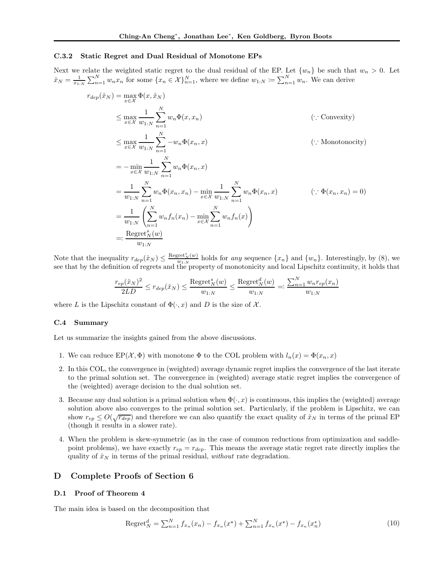## C.3.2 Static Regret and Dual Residual of Monotone EPs

Next we relate the weighted static regret to the dual residual of the EP. Let  $\{w_n\}$  be such that  $w_n > 0$ . Let  $\hat{x}_N = \frac{1}{x_{1:N}} \sum_{n=1}^N w_n x_n$  for some  $\{x_n \in \mathcal{X}\}_{n=1}^N$ , where we define  $w_{1:N} \coloneqq \sum_{n=1}^N w_n$ . We can derive

$$
r_{dep}(\hat{x}_N) = \max_{x \in \mathcal{X}} \Phi(x, \hat{x}_N)
$$
  
\n
$$
\leq \max_{x \in \mathcal{X}} \frac{1}{w_{1:N}} \sum_{n=1}^N w_n \Phi(x, x_n)
$$
  
\n
$$
\leq \max_{x \in \mathcal{X}} \frac{1}{w_{1:N}} \sum_{n=1}^N -w_n \Phi(x_n, x)
$$
  
\n
$$
= -\min_{x \in \mathcal{X}} \frac{1}{w_{1:N}} \sum_{n=1}^N w_n \Phi(x_n, x)
$$
  
\n
$$
= \frac{1}{w_{1:N}} \sum_{n=1}^N w_n \Phi(x_n, x_n) - \min_{x \in \mathcal{X}} \frac{1}{w_{1:N}} \sum_{n=1}^N w_n \Phi(x_n, x)
$$
  
\n
$$
= \frac{1}{w_{1:N}} \left( \sum_{n=1}^N w_n f_n(x_n) - \min_{x \in \mathcal{X}} \sum_{n=1}^N w_n f_n(x) \right)
$$
  
\n
$$
= \frac{\text{Regret}_N^K(w)}{w_{1:N}}
$$
  
\n(∴  $\Phi(x_n, x_n) = 0$ )  
\n
$$
= \frac{1}{w_{1:N}} \left( \sum_{n=1}^N w_n f_n(x_n) - \min_{x \in \mathcal{X}} \sum_{n=1}^N w_n f_n(x) \right)
$$

Note that the inequality  $r_{dep}(\hat{x}_N) \leq \frac{\text{Regret}_N^s(w)}{w_{1:N}}$  holds for any sequence  $\{x_n\}$  and  $\{w_n\}$ . Interestingly, by (8), we see that by the definition of regrets and the property of monotonicity and local Lipschitz continuity, it holds that

$$
\frac{r_{ep}(\hat{x}_N)^2}{2LD} \le r_{dep}(\hat{x}_N) \le \frac{\text{Regret}_N^s(w)}{w_{1:N}} \le \frac{\text{Regret}_N^d(w)}{w_{1:N}} =: \frac{\sum_{n=1}^N w_n r_{ep}(x_n)}{w_{1:N}}
$$

where L is the Lipschitz constant of  $\Phi(\cdot, x)$  and D is the size of X.

## C.4 Summary

Let us summarize the insights gained from the above discussions.

- 1. We can reduce  $EP(\mathcal{X}, \Phi)$  with monotone  $\Phi$  to the COL problem with  $l_n(x) = \Phi(x_n, x)$
- 2. In this COL, the convergence in (weighted) average dynamic regret implies the convergence of the last iterate to the primal solution set. The convergence in (weighted) average static regret implies the convergence of the (weighted) average decision to the dual solution set.
- 3. Because any dual solution is a primal solution when  $\Phi(\cdot, x)$  is continuous, this implies the (weighted) average solution above also converges to the primal solution set. Particularly, if the problem is Lipschitz, we can show  $r_{ep} \leq O(\sqrt{r_{dep}})$  and therefore we can also quantify the exact quality of  $\hat{x}_N$  in terms of the primal EP (though it results in a slower rate).
- 4. When the problem is skew-symmetric (as in the case of common reductions from optimization and saddlepoint problems), we have exactly  $r_{ep} = r_{dep}$ . This means the average static regret rate directly implies the quality of  $\hat{x}_N$  in terms of the primal residual, without rate degradation.

## D Complete Proofs of Section 6

## D.1 Proof of Theorem 4

The main idea is based on the decomposition that

Regret<sup>d</sup><sub>N</sub> = 
$$
\sum_{n=1}^{N} f_{x_n}(x_n) - f_{x_n}(x^*) + \sum_{n=1}^{N} f_{x_n}(x^*) - f_{x_n}(x^*)
$$
 (10)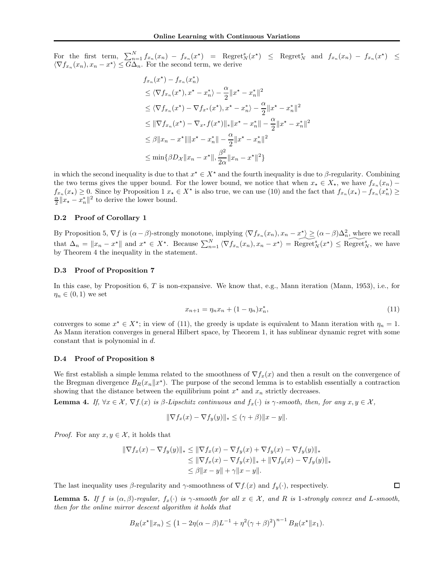For the first term,  $\sum_{n=1}^{N} f_{x_n}(x_n) - f_{x_n}(x^*)$  = Regret $_N^s(x^*)$   $\leq$  Regret $_N^s$  and  $f_{x_n}(x_n) - f_{x_n}(x^*)$   $\leq$  $\langle \nabla f_{x_n}(x_n), x_n - x^* \rangle \leq G\Delta_n$ . For the second term, we derive

$$
f_{x_n}(x^*) - f_{x_n}(x_n^*)
$$
  
\n
$$
\leq \langle \nabla f_{x_n}(x^*), x^* - x_n^* \rangle - \frac{\alpha}{2} ||x^* - x_n^*||^2
$$
  
\n
$$
\leq \langle \nabla f_{x_n}(x^*) - \nabla f_{x^*}(x^*), x^* - x_n^* \rangle - \frac{\alpha}{2} ||x^* - x_n^*||^2
$$
  
\n
$$
\leq ||\nabla f_{x_n}(x^*) - \nabla_{x^*} f(x^*)||_* ||x^* - x_n^*|| - \frac{\alpha}{2} ||x^* - x_n^*||^2
$$
  
\n
$$
\leq \beta ||x_n - x^*|| ||x^* - x_n^*|| - \frac{\alpha}{2} ||x^* - x_n^*||^2
$$
  
\n
$$
\leq \min \{ \beta D_x ||x_n - x^*||, \frac{\beta^2}{2\alpha} ||x_n - x^*||^2 \}
$$

in which the second inequality is due to that  $x^* \in X^*$  and the fourth inequality is due to  $\beta$ -regularity. Combining the two terms gives the upper bound. For the lower bound, we notice that when  $x_{\star} \in X_{\star}$ , we have  $f_{x_n}(x_n)$  –  $f_{x_n}(x_\star) \geq 0$ . Since by Proposition 1  $x_\star \in X^\star$  is also true, we can use (10) and the fact that  $f_{x_n}(x_\star) - f_{x_n}(x_n^*) \geq 0$  $\frac{\alpha}{2}||x_{\star}-x_{n}^{\ast}||^{2}$  to derive the lower bound.

#### D.2 Proof of Corollary 1

By Proposition 5,  $\nabla f$  is  $(\alpha - \beta)$ -strongly monotone, implying  $\langle \nabla f_{x_n}(x_n), x_n - x^* \rangle \geq (\alpha - \beta) \Delta_n^2$ , where we recall that  $\Delta_n = \|x_n - x^*\|$  and  $x^* \in X^*$ . Because  $\sum_{n=1}^N \langle \nabla f_{x_n}(x_n), x_n - x^* \rangle = \widetilde{\text{Regret}}_N^s(x^*) \leq \widetilde{\text{Regret}}_N^s$ , we have by Theorem 4 the inequality in the statement.

## D.3 Proof of Proposition 7

In this case, by Proposition 6, T is non-expansive. We know that, e.g., Mann iteration (Mann, 1953), i.e., for  $\eta_n \in (0,1)$  we set

$$
x_{n+1} = \eta_n x_n + (1 - \eta_n) x_n^*,\tag{11}
$$

converges to some  $x^* \in X^*$ ; in view of (11), the greedy is update is equivalent to Mann iteration with  $\eta_n = 1$ . As Mann iteration converges in general Hilbert space, by Theorem 1, it has sublinear dynamic regret with some constant that is polynomial in d.

#### D.4 Proof of Proposition 8

We first establish a simple lemma related to the smoothness of  $\nabla f_x(x)$  and then a result on the convergence of the Bregman divergence  $B_R(x_n||x^*)$ . The purpose of the second lemma is to establish essentially a contraction showing that the distance between the equilibrium point  $x^*$  and  $x_n$  strictly decreases.

**Lemma 4.** If,  $\forall x \in \mathcal{X}, \nabla f(x)$  is  $\beta$ -Lipschitz continuous and  $f_x(\cdot)$  is  $\gamma$ -smooth, then, for any  $x, y \in \mathcal{X}$ ,

$$
\|\nabla f_x(x) - \nabla f_y(y)\|_* \leq (\gamma + \beta) \|x - y\|.
$$

*Proof.* For any  $x, y \in \mathcal{X}$ , it holds that

$$
\|\nabla f_x(x) - \nabla f_y(y)\|_{*} \le \|\nabla f_x(x) - \nabla f_y(x) + \nabla f_y(x) - \nabla f_y(y)\|_{*}
$$
  
\n
$$
\le \|\nabla f_x(x) - \nabla f_y(x)\|_{*} + \|\nabla f_y(x) - \nabla f_y(y)\|_{*}
$$
  
\n
$$
\le \beta \|x - y\| + \gamma \|x - y\|.
$$

The last inequality uses  $\beta$ -regularity and  $\gamma$ -smoothness of  $\nabla f(x)$  and  $f_y(\cdot)$ , respectively.

**Lemma 5.** If f is  $(\alpha, \beta)$ -regular,  $f_x(\cdot)$  is  $\gamma$ -smooth for all  $x \in \mathcal{X}$ , and R is 1-strongly convex and L-smooth, then for the online mirror descent algorithm it holds that

$$
B_R(x^* \| x_n) \le (1 - 2\eta(\alpha - \beta)L^{-1} + \eta^2(\gamma + \beta)^2)^{n-1} B_R(x^* \| x_1).
$$

 $\Box$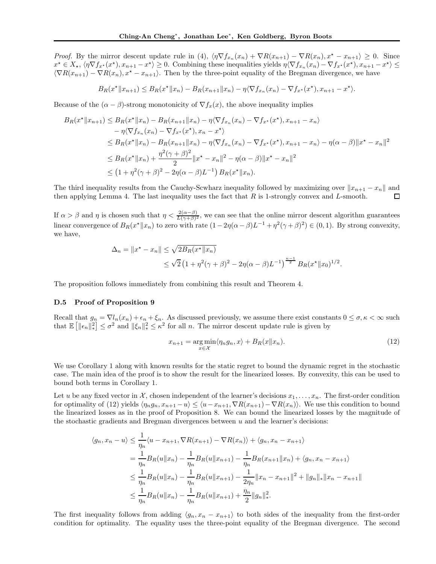*Proof.* By the mirror descent update rule in (4),  $\langle \eta \nabla f_{x_n}(x_n) + \nabla R(x_{n+1}) - \nabla R(x_n), x^* - x_{n+1} \rangle \geq 0$ . Since  $x^* \in X_*, \langle \eta \nabla f_{x^*}(x^*), x_{n+1} - x^* \rangle \geq 0.$  Combining these inequalities yields  $\eta \langle \nabla f_{x_n}(x_n) - \nabla f_{x^*}(x^*), x_{n+1} - x^* \rangle \leq 0.$  $\langle \nabla R(x_{n+1}) - \nabla R(x_n), x^* - x_{n+1} \rangle$ . Then by the three-point equality of the Bregman divergence, we have

 $B_R(x^*||x_{n+1}) \leq B_R(x^*||x_n) - B_R(x_{n+1}||x_n) - \eta \langle \nabla f_{x_n}(x_n) - \nabla f_{x^*}(x^*), x_{n+1} - x^* \rangle.$ 

Because of the  $(\alpha - \beta)$ -strong monotonicity of  $\nabla f_x(x)$ , the above inequality implies

$$
B_R(x^*||x_{n+1}) \leq B_R(x^*||x_n) - B_R(x_{n+1}||x_n) - \eta \langle \nabla f_{x_n}(x_n) - \nabla f_{x^*}(x^*) , x_{n+1} - x_n \rangle
$$
  
\n
$$
- \eta \langle \nabla f_{x_n}(x_n) - \nabla f_{x^*}(x^*) , x_n - x^* \rangle
$$
  
\n
$$
\leq B_R(x^*||x_n) - B_R(x_{n+1}||x_n) - \eta \langle \nabla f_{x_n}(x_n) - \nabla f_{x^*}(x^*) , x_{n+1} - x_n \rangle - \eta (\alpha - \beta) ||x^* - x_n||^2
$$
  
\n
$$
\leq B_R(x^*||x_n) + \frac{\eta^2 (\gamma + \beta)^2}{2} ||x^* - x_n||^2 - \eta (\alpha - \beta) ||x^* - x_n||^2
$$
  
\n
$$
\leq (1 + \eta^2 (\gamma + \beta)^2 - 2\eta (\alpha - \beta) L^{-1}) B_R(x^*||x_n).
$$

The third inequality results from the Cauchy-Scwharz inequality followed by maximizing over  $||x_{n+1} - x_n||$  and then applying Lemma 4. The last inequality uses the fact that R is 1-strongly convex and L-smooth. then applying Lemma 4. The last inequality uses the fact that  $R$  is 1-strongly convex and  $L$ -smooth.

If  $\alpha > \beta$  and  $\eta$  is chosen such that  $\eta < \frac{2(\alpha-\beta)}{L(\gamma+\beta)^2}$ , we can see that the online mirror descent algorithm guarantees linear convergence of  $B_R(x^*||x_n)$  to zero with rate  $(1-2\eta(\alpha-\beta)L^{-1}+\eta^2(\gamma+\beta)^2) \in (0,1)$ . By strong convexity, we have,

$$
\Delta_n = \|x^* - x_n\| \le \sqrt{2B_R(x^* \|x_n)}
$$
  
 
$$
\le \sqrt{2} (1 + \eta^2 (\gamma + \beta)^2 - 2\eta (\alpha - \beta) L^{-1})^{\frac{n-1}{2}} B_R(x^* \|x_0)^{1/2}.
$$

The proposition follows immediately from combining this result and Theorem 4.

## D.5 Proof of Proposition 9

Recall that  $g_n = \nabla l_n(x_n) + \epsilon_n + \xi_n$ . As discussed previously, we assume there exist constants  $0 \leq \sigma, \kappa < \infty$  such that  $\mathbb{E} \left[ \|\epsilon_n\|_*^2 \right]$  $\left( \frac{2}{\epsilon^2} \right) \leq \sigma^2$  and  $\left| \left| \xi_n \right| \right|_*^2 \leq \kappa^2$  for all *n*. The mirror descent update rule is given by

$$
x_{n+1} = \underset{x \in \mathcal{X}}{\arg \min} \langle \eta_n g_n, x \rangle + B_R(x \| x_n). \tag{12}
$$

We use Corollary 1 along with known results for the static regret to bound the dynamic regret in the stochastic case. The main idea of the proof is to show the result for the linearized losses. By convexity, this can be used to bound both terms in Corollary 1.

Let u be any fixed vector in X, chosen independent of the learner's decisions  $x_1, \ldots, x_n$ . The first-order condition for optimality of (12) yields  $\langle \eta_n g_n, x_{n+1} - u \rangle \leq \langle u - x_{n+1}, \nabla R(x_{n+1}) - \nabla R(x_n) \rangle$ . We use this condition to bound the linearized losses as in the proof of Proposition 8. We can bound the linearized losses by the magnitude of the stochastic gradients and Bregman divergences between  $u$  and the learner's decisions:

$$
\langle g_n, x_n - u \rangle \leq \frac{1}{\eta_n} \langle u - x_{n+1}, \nabla R(x_{n+1}) - \nabla R(x_n) \rangle + \langle g_n, x_n - x_{n+1} \rangle
$$
  
\n
$$
= \frac{1}{\eta_n} B_R(u \| x_n) - \frac{1}{\eta_n} B_R(u \| x_{n+1}) - \frac{1}{\eta_n} B_R(x_{n+1} \| x_n) + \langle g_n, x_n - x_{n+1} \rangle
$$
  
\n
$$
\leq \frac{1}{\eta_n} B_R(u \| x_n) - \frac{1}{\eta_n} B_R(u \| x_{n+1}) - \frac{1}{2\eta_n} \| x_n - x_{n+1} \|^2 + \| g_n \|_* \| x_n - x_{n+1} \|
$$
  
\n
$$
\leq \frac{1}{\eta_n} B_R(u \| x_n) - \frac{1}{\eta_n} B_R(u \| x_{n+1}) + \frac{\eta_n}{2} \| g_n \|_*^2.
$$

The first inequality follows from adding  $\langle g_n, x_n - x_{n+1} \rangle$  to both sides of the inequality from the first-order condition for optimality. The equality uses the three-point equality of the Bregman divergence. The second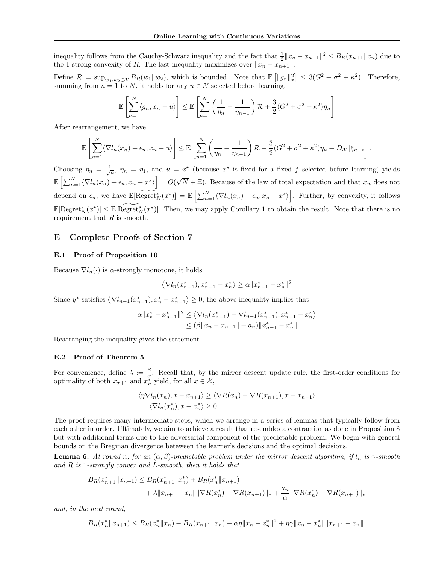inequality follows from the Cauchy-Schwarz inequality and the fact that  $\frac{1}{2}||x_n - x_{n+1}||^2 \leq B_R(x_{n+1}||x_n)$  due to the 1-strong convexity of R. The last inequality maximizes over  $||x_n - x_{n+1}||$ .

Define  $\mathcal{R} = \sup_{w_1, w_2 \in \mathcal{X}} B_R(w_1 || w_2)$ , which is bounded. Note that  $\mathbb{E} [||g_n||_*^2]$  $\epsilon^2$  ≤ 3( $G^2 + \sigma^2 + \kappa^2$ ). Therefore, summing from  $n = 1$  to  $N$ , it holds for any  $u \in \mathcal{X}$  selected before learning,

$$
\mathbb{E}\left[\sum_{n=1}^N \langle g_n, x_n - u \rangle\right] \le \mathbb{E}\left[\sum_{n=1}^N \left(\frac{1}{\eta_n} - \frac{1}{\eta_{n-1}}\right) \mathcal{R} + \frac{3}{2} (G^2 + \sigma^2 + \kappa^2) \eta_n\right]
$$

After rearrangement, we have

$$
\mathbb{E}\left[\sum_{n=1}^N\langle \nabla l_n(x_n)+\epsilon_n,x_n-u\rangle\right]\leq \mathbb{E}\left[\sum_{n=1}^N\left(\frac{1}{\eta_n}-\frac{1}{\eta_{n-1}}\right)\mathcal{R}+\frac{3}{2}(G^2+\sigma^2+\kappa^2)\eta_n+D_{\mathcal{X}}\|\xi_n\|_*\right].
$$

Choosing  $\eta_n = \frac{1}{\sqrt{n}}$ ,  $\eta_n = \eta_1$ , and  $u = x^*$  (because  $x^*$  is fixed for a fixed f selected before learning) yields  $\mathbb{E}\left[\sum_{n=1}^N\langle \nabla l_n(x_n)+\epsilon_n, x_n-x^\star\rangle\right]$  $\big] = O(\sqrt{N} + \Xi)$ . Because of the law of total expectation and that  $x_n$  does not depend on  $\epsilon_n$ , we have  $\mathbb{E}[\widetilde{\text{Regret}_N^s}(x^{\star})] = \mathbb{E}\left[\sum_{n=1}^N \langle \nabla l_n(x_n) + \epsilon_n, x_n - x^{\star}\rangle\right]$ . Further, by convexity, it follows  $\mathbb{E}[\text{Regret}_{N}^{s}(x^{\star})] \leq \mathbb{E}[\widetilde{\text{Regret}}_{N}^{s}(x^{\star})].$  Then, we may apply Corollary 1 to obtain the result. Note that there is no requirement that  $R$  is smooth.

## E Complete Proofs of Section 7

## E.1 Proof of Proposition 10

Because  $\nabla l_n(\cdot)$  is  $\alpha$ -strongly monotone, it holds

$$
\langle \nabla l_n(x_{n-1}^*), x_{n-1}^* - x_n^* \rangle \ge \alpha ||x_{n-1}^* - x_n^*||^2
$$

Since  $y^*$  satisfies  $\langle \nabla l_{n-1}(x_{n-1}^*), x_n^* - x_{n-1}^* \rangle \geq 0$ , the above inequality implies that

$$
\alpha ||x_n^* - x_{n-1}^*||^2 \le \langle \nabla l_n(x_{n-1}^*) - \nabla l_{n-1}(x_{n-1}^*), x_{n-1}^* - x_n^* \rangle
$$
  

$$
\le (\beta ||x_n - x_{n-1}|| + a_n) ||x_{n-1}^* - x_n^*||
$$

Rearranging the inequality gives the statement.

#### E.2 Proof of Theorem 5

For convenience, define  $\lambda := \frac{\beta}{\alpha}$ . Recall that, by the mirror descent update rule, the first-order conditions for optimality of both  $x_{x+1}$  and  $x_n^*$  yield, for all  $x \in \mathcal{X}$ ,

$$
\langle \eta \nabla l_n(x_n), x - x_{n+1} \rangle \ge \langle \nabla R(x_n) - \nabla R(x_{n+1}), x - x_{n+1} \rangle
$$
  

$$
\langle \nabla l_n(x_n^*), x - x_n^* \rangle \ge 0.
$$

The proof requires many intermediate steps, which we arrange in a series of lemmas that typically follow from each other in order. Ultimately, we aim to achieve a result that resembles a contraction as done in Proposition 8 but with additional terms due to the adversarial component of the predictable problem. We begin with general bounds on the Bregman divergence beteween the learner's decisions and the optimal decisions.

**Lemma 6.** At round n, for an  $(\alpha, \beta)$ -predictable problem under the mirror descent algorithm, if  $l_n$  is  $\gamma$ -smooth and R is 1-strongly convex and L-smooth, then it holds that

$$
B_R(x_{n+1}^*||x_{n+1}) \leq B_R(x_{n+1}^*||x_n^*) + B_R(x_n^*||x_{n+1})
$$
  
+  $\lambda ||x_{n+1} - x_n|| ||\nabla R(x_n^*) - \nabla R(x_{n+1})||_* + \frac{a_n}{\alpha} ||\nabla R(x_n^*) - \nabla R(x_{n+1})||_*$ 

and, in the next round,

$$
B_R(x_n^*||x_{n+1}) \leq B_R(x_n^*||x_n) - B_R(x_{n+1}||x_n) - \alpha \eta ||x_n - x_n^*||^2 + \eta \gamma ||x_n - x_n^*|| ||x_{n+1} - x_n||.
$$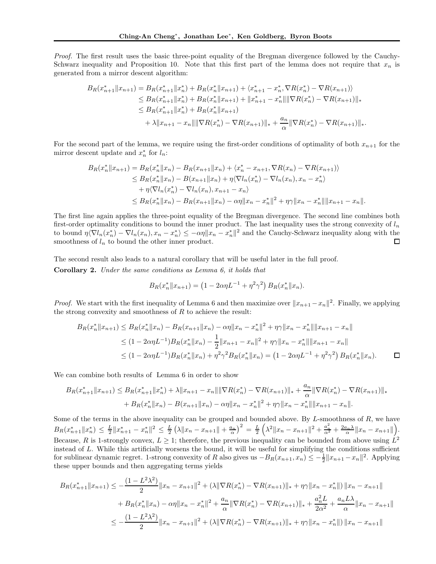Proof. The first result uses the basic three-point equality of the Bregman divergence followed by the Cauchy-Schwarz inequality and Proposition 10. Note that this first part of the lemma does not require that  $x_n$  is generated from a mirror descent algorithm:

$$
B_R(x_{n+1}^*||x_{n+1}) = B_R(x_{n+1}^*||x_n^*) + B_R(x_n^*||x_{n+1}) + \langle x_{n+1}^* - x_n^*, \nabla R(x_n^*) - \nabla R(x_{n+1}) \rangle
$$
  
\n
$$
\leq B_R(x_{n+1}^*||x_n^*) + B_R(x_n^*||x_{n+1}) + ||x_{n+1}^* - x_n^*|| \|\nabla R(x_n^*) - \nabla R(x_{n+1})||_*
$$
  
\n
$$
\leq B_R(x_{n+1}^*||x_n^*) + B_R(x_n^*||x_{n+1})
$$
  
\n
$$
+ \lambda ||x_{n+1} - x_n|| \|\nabla R(x_n^*) - \nabla R(x_{n+1})||_* + \frac{a_n}{\alpha} \|\nabla R(x_n^*) - \nabla R(x_{n+1})||_*.
$$

For the second part of the lemma, we require using the first-order conditions of optimality of both  $x_{n+1}$  for the mirror descent update and  $x_n^*$  for  $l_n$ :

$$
B_R(x_n^* \|x_{n+1}) = B_R(x_n^* \|x_n) - B_R(x_{n+1} \|x_n) + \langle x_n^* - x_{n+1}, \nabla R(x_n) - \nabla R(x_{n+1}) \rangle
$$
  
\n
$$
\leq B_R(x_n^* \|x_n) - B(x_{n+1} \|x_n) + \eta \langle \nabla l_n(x_n^*) - \nabla l_n(x_n), x_n - x_n^* \rangle
$$
  
\n
$$
+ \eta \langle \nabla l_n(x_n^*) - \nabla l_n(x_n), x_{n+1} - x_n \rangle
$$
  
\n
$$
\leq B_R(x_n^* \|x_n) - B_R(x_{n+1} \|x_n) - \alpha \eta \|x_n - x_n^*\|^2 + \eta \gamma \|x_n - x_n^*\| \|x_{n+1} - x_n\|.
$$

The first line again applies the three-point equality of the Bregman divergence. The second line combines both first-order optimality conditions to bound the inner product. The last inequality uses the strong convexity of  $l_n$ to bound  $\eta \langle \nabla l_n(x_n^*) - \nabla l_n(x_n), x_n - x_n^* \rangle \leq -\alpha \eta \|x_n - x_n^*\|^2$  and the Cauchy-Schwarz inequality along with the smoothness of  $l_n$  to bound the other inner product. □

The second result also leads to a natural corollary that will be useful later in the full proof. Corollary 2. Under the same conditions as Lemma 6, it holds that

$$
B_R(x_n^*||x_{n+1}) = (1 - 2\alpha\eta L^{-1} + \eta^2\gamma^2) B_R(x_n^*||x_n).
$$

*Proof.* We start with the first inequality of Lemma 6 and then maximize over  $||x_{n+1} - x_n||^2$ . Finally, we applying the strong convexity and smoothness of  $R$  to achieve the result:

$$
B_R(x_n^* \|x_{n+1}) \leq B_R(x_n^* \|x_n) - B_R(x_{n+1} \|x_n) - \alpha \eta \|x_n - x_n^*\|^2 + \eta \gamma \|x_n - x_n^*\| \|x_{n+1} - x_n\|
$$
  
\n
$$
\leq (1 - 2\alpha \eta L^{-1}) B_R(x_n^* \|x_n) - \frac{1}{2} \|x_{n+1} - x_n\|^2 + \eta \gamma \|x_n - x_n^*\| \|x_{n+1} - x_n\|
$$
  
\n
$$
\leq (1 - 2\alpha \eta L^{-1}) B_R(x_n^* \|x_n) + \eta^2 \gamma^2 B_R(x_n^* \|x_n) = (1 - 2\alpha \eta L^{-1} + \eta^2 \gamma^2) B_R(x_n^* \|x_n).
$$

We can combine both results of Lemma 6 in order to show

$$
B_R(x_{n+1}^*||x_{n+1}) \leq B_R(x_{n+1}^*||x_n^*) + \lambda ||x_{n+1} - x_n|| \|\nabla R(x_n^*) - \nabla R(x_{n+1})\|_* + \frac{a_n}{\alpha} \|\nabla R(x_n^*) - \nabla R(x_{n+1})\|_* + B_R(x_n^*||x_n) - B(x_{n+1}||x_n) - \alpha \eta ||x_n - x_n^*||^2 + \eta \gamma ||x_n - x_n^*|| ||x_{n+1} - x_n||.
$$

Some of the terms in the above inequality can be grouped and bounded above. By  $L$ -smoothness of  $R$ , we have  $B_R(x_{n+1}^*||x_n^*) \leq \frac{L}{2}||x_{n+1}^* - x_n^*||^2 \leq \frac{L}{2}(\lambda ||x_n - x_{n+1}|| + \frac{a_n}{\alpha})^2 = \frac{L}{2}$  $\left(\lambda^2 \|x_n - x_{n+1}\|^2 + \frac{a_n^2}{\alpha^2} + \frac{2a_n\lambda}{\alpha}\|x_n - x_{n+1}\|\right).$ Because, R is 1-strongly convex,  $L \geq 1$ ; therefore, the previous inequality can be bounded from above using  $L^2$ instead of L. While this artificially worsens the bound, it will be useful for simplifying the conditions sufficient for sublinear dynamic regret. 1-strong convexity of R also gives us  $-B_R(x_{n+1}, x_n) \leq -\frac{1}{2} ||x_{n+1} - x_n||^2$ . Applying these upper bounds and then aggregating terms yields

$$
B_R(x_{n+1}^*||x_{n+1}) \le -\frac{(1 - L^2\lambda^2)}{2} ||x_n - x_{n+1}||^2 + (\lambda ||\nabla R(x_n^*) - \nabla R(x_{n+1})||_* + \eta \gamma ||x_n - x_n^*|| \, ||x_n - x_{n+1}||
$$
  
+ 
$$
B_R(x_n^*||x_n) - \alpha \eta ||x_n - x_n^*||^2 + \frac{a_n}{\alpha} ||\nabla R(x_n^*) - \nabla R(x_{n+1})||_* + \frac{a_n^2 L}{2\alpha^2} + \frac{a_n L\lambda}{\alpha} ||x_n - x_{n+1}||
$$
  

$$
\le -\frac{(1 - L^2\lambda^2)}{2} ||x_n - x_{n+1}||^2 + (\lambda ||\nabla R(x_n^*) - \nabla R(x_{n+1})||_* + \eta \gamma ||x_n - x_n^*||) ||x_n - x_{n+1}||
$$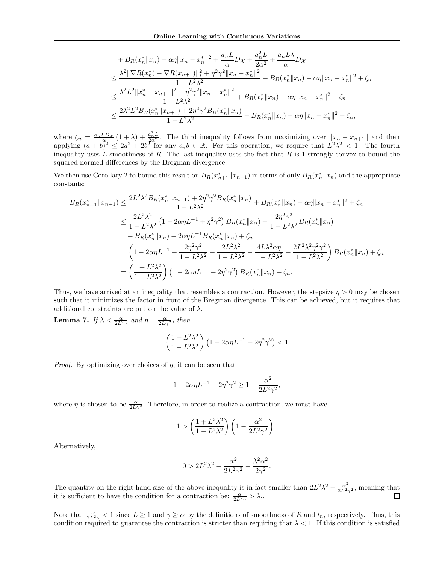$$
+ B_R(x_n^* \|x_n) - \alpha \eta \|x_n - x_n^*\|^2 + \frac{a_n L}{\alpha} D_{\mathcal{X}} + \frac{a_n^2 L}{2\alpha^2} + \frac{a_n L \lambda}{\alpha} D_{\mathcal{X}}
$$
  
\n
$$
\leq \frac{\lambda^2 \|\nabla R(x_n^*) - \nabla R(x_{n+1})\|_{*}^2 + \eta^2 \gamma^2 \|x_n - x_n^*\|^2}{1 - L^2 \lambda^2} + B_R(x_n^* \|x_n) - \alpha \eta \|x_n - x_n^*\|^2 + \zeta_n
$$
  
\n
$$
\leq \frac{\lambda^2 L^2 \|x_n^* - x_{n+1}\|^2 + \eta^2 \gamma^2 \|x_n - x_n^*\|^2}{1 - L^2 \lambda^2} + B_R(x_n^* \|x_n) - \alpha \eta \|x_n - x_n^*\|^2 + \zeta_n
$$
  
\n
$$
\leq \frac{2\lambda^2 L^2 B_R(x_n^* \|x_{n+1}) + 2\eta^2 \gamma^2 B_R(x_n^* \|x_n)}{1 - L^2 \lambda^2} + B_R(x_n^* \|x_n) - \alpha \eta \|x_n - x_n^*\|^2 + \zeta_n,
$$

where  $\zeta_n = \frac{a_n L D_{\mathcal{X}}}{a_n} (1 + \lambda) + \frac{a_n^2 L}{a_n^2}$ . The third inequality follows from maximizing over  $||x_n - x_{n+1}||$  and then applying  $(a+b)^2 \leq 2a^2 + 2b^2$  for any  $a, b \in \mathbb{R}$ . For this operation, we require that  $L^2\lambda^2 < 1$ . The fourth inequality uses  $L$ -smoothness of  $R$ . The last inequality uses the fact that  $R$  is 1-strongly convex to bound the squared normed differences by the Bregman divergence.

We then use Corollary 2 to bound this result on  $B_R(x_{n+1}^*||x_{n+1})$  in terms of only  $B_R(x_n^*||x_n)$  and the appropriate constants:

$$
B_R(x_{n+1}^*||x_{n+1}) \leq \frac{2L^2\lambda^2 B_R(x_n^*||x_{n+1}) + 2\eta^2\gamma^2 B_R(x_n^*||x_n)}{1 - L^2\lambda^2} + B_R(x_n^*||x_n) - \alpha\eta ||x_n - x_n^*||^2 + \zeta_n
$$
  
\n
$$
\leq \frac{2L^2\lambda^2}{1 - L^2\lambda^2} \left(1 - 2\alpha\eta L^{-1} + \eta^2\gamma^2\right) B_R(x_n^*||x_n) + \frac{2\eta^2\gamma^2}{1 - L^2\lambda^2} B_R(x_n^*||x_n)
$$
  
\n
$$
+ B_R(x_n^*||x_n) - 2\alpha\eta L^{-1} B_R(x_n^*||x_n) + \zeta_n
$$
  
\n
$$
= \left(1 - 2\alpha\eta L^{-1} + \frac{2\eta^2\gamma^2}{1 - L^2\lambda^2} + \frac{2L^2\lambda^2}{1 - L^2\lambda^2} - \frac{4L\lambda^2\alpha\eta}{1 - L^2\lambda^2} + \frac{2L^2\lambda^2\eta^2\gamma^2}{1 - L^2\lambda^2}\right) B_R(x_n^*||x_n) + \zeta_n
$$
  
\n
$$
= \left(\frac{1 + L^2\lambda^2}{1 - L^2\lambda^2}\right) \left(1 - 2\alpha\eta L^{-1} + 2\eta^2\gamma^2\right) B_R(x_n^*||x_n) + \zeta_n.
$$

Thus, we have arrived at an inequality that resembles a contraction. However, the stepsize  $\eta > 0$  may be chosen such that it minimizes the factor in front of the Bregman divergence. This can be achieved, but it requires that additional constraints are put on the value of  $\lambda$ .

**Lemma 7.** If  $\lambda < \frac{\alpha}{2L^2\gamma}$  and  $\eta = \frac{\alpha}{2L\gamma^2}$ , then

$$
\left(\frac{1+L^2\lambda^2}{1-L^2\lambda^2}\right)\left(1-2\alpha\eta L^{-1}+2\eta^2\gamma^2\right)<1
$$

*Proof.* By optimizing over choices of  $\eta$ , it can be seen that

$$
1-2\alpha\eta L^{-1}+2\eta^2\gamma^2\geq 1-\frac{\alpha^2}{2L^2\gamma^2},
$$

where  $\eta$  is chosen to be  $\frac{\alpha}{2L\gamma^2}$ . Therefore, in order to realize a contraction, we must have

$$
1 > \left(\frac{1 + L^2 \lambda^2}{1 - L^2 \lambda^2}\right) \left(1 - \frac{\alpha^2}{2L^2 \gamma^2}\right).
$$

Alternatively,

$$
0 > 2L^2\lambda^2 - \frac{\alpha^2}{2L^2\gamma^2} - \frac{\lambda^2\alpha^2}{2\gamma^2}.
$$

The quantity on the right hand size of the above inequality is in fact smaller than  $2L^2\lambda^2 - \frac{\alpha^2}{2L^2\gamma^2}$ , meaning that it is sufficient to have the condition for a contraction be:  $\frac{\alpha}{2L^2\gamma} > \lambda$ .

Note that  $\frac{\alpha}{2L^2\gamma} < 1$  since  $L \ge 1$  and  $\gamma \ge \alpha$  by the definitions of smoothness of R and  $l_n$ , respectively. Thus, this condition required to guarantee the contraction is stricter than requiring that  $\lambda < 1$ . If this condition is satisfied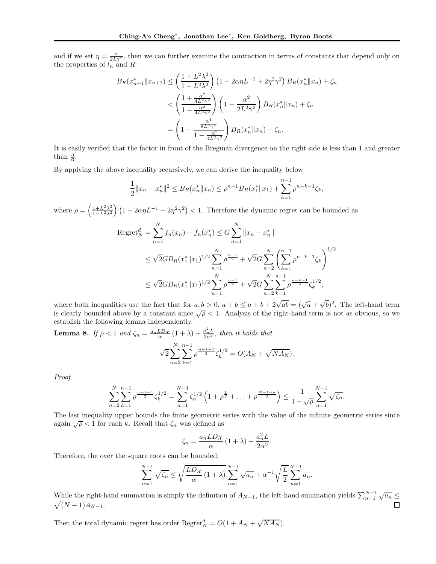and if we set  $\eta = \frac{\alpha}{2L\gamma^2}$ , then we can further examine the contraction in terms of constants that depend only on the properties of  $l_n$  and R:

$$
B_R(x_{n+1}^*||x_{n+1}) \le \left(\frac{1+L^2\lambda^2}{1-L^2\lambda^2}\right) \left(1-2\alpha\eta L^{-1}+2\eta^2\gamma^2\right) B_R(x_n^*||x_n) + \zeta_n
$$
  

$$
< \left(\frac{1+\frac{\alpha^2}{4L^2\gamma^2}}{1-\frac{\alpha^2}{4L^2\gamma^2}}\right) \left(1-\frac{\alpha^2}{2L^2\gamma^2}\right) B_R(x_n^*||x_n) + \zeta_n
$$
  

$$
= \left(1-\frac{\frac{\alpha^4}{8L^4\gamma^4}}{1-\frac{\alpha^2}{4L^2\gamma^2}}\right) B_R(x_n^*||x_n) + \zeta_n.
$$

It is easily verified that the factor in front of the Bregman divergence on the right side is less than 1 and greater than  $\frac{5}{6}$ .

By applying the above inequality recursively, we can derive the inequality below

$$
\frac{1}{2}||x_n - x_n^*||^2 \le B_R(x_n^*||x_n) \le \rho^{n-1}B_R(x_1^*||x_1) + \sum_{k=1}^{n-1} \rho^{n-k-1}\zeta_k,
$$

where  $\rho = \left(\frac{1+L^2\lambda^2}{1-L^2\lambda^2}\right)$  $\frac{1+L^2\lambda^2}{1-L^2\lambda^2}\Big(1-2\alpha\eta L^{-1}+2\eta^2\gamma^2\Big)<1.$  Therefore the dynamic regret can be bounded as

$$
\begin{split} \operatorname{Regret}_{N}^{d} &= \sum_{n=1}^{N} f_{n}(x_{n}) - f_{n}(x_{n}^{*}) \leq G \sum_{n=1}^{N} \|x_{n} - x_{n}^{*}\| \\ &\leq \sqrt{2}GB_{R}(x_{1}^{*} \|x_{1})^{1/2} \sum_{n=1}^{N} \rho^{\frac{n-1}{2}} + \sqrt{2}G \sum_{n=2}^{N} \left(\sum_{k=1}^{n-1} \rho^{n-k-1} \zeta_{k}\right)^{1/2} \\ &\leq \sqrt{2}GB_{R}(x_{1}^{*} \|x_{1})^{1/2} \sum_{n=1}^{N} \rho^{\frac{n-1}{2}} + \sqrt{2}G \sum_{n=2}^{N} \sum_{k=1}^{n-1} \rho^{\frac{n-k-1}{2}} \zeta_{k}^{1/2}, \end{split}
$$

where both inequalities use the fact that for  $a, b > 0$ ,  $a + b \le a + b + 2\sqrt{ab} = (\sqrt{a} + \sqrt{b})^2$ . The left-hand term is clearly bounded above by a constant since  $\sqrt{\rho} < 1$ . Analysis of the right-hand term is not as obvious, so we establish the following lemma independently.

**Lemma 8.** If  $\rho < 1$  and  $\zeta_n = \frac{a_n L D_{\mathcal{X}}}{\alpha} (1 + \lambda) + \frac{a_n^2 L}{2 \alpha^2}$ , then it holds that N  $n-k-1$ 

$$
\sqrt{2} \sum_{n=2}^{N} \sum_{k=1}^{n-1} \rho^{\frac{n-k-1}{2}} \zeta_k^{1/2} = O(A_N + \sqrt{NA_N}).
$$

Proof.

$$
\sum_{n=2}^{N} \sum_{k=1}^{n-1} \rho^{\frac{n-k-1}{2}} \zeta_k^{1/2} = \sum_{n=1}^{N-1} \zeta_n^{1/2} \left( 1 + \rho^{\frac{1}{2}} + \ldots + \rho^{\frac{N-1-n}{2}} \right) \le \frac{1}{1 - \sqrt{\rho}} \sum_{n=1}^{N-1} \sqrt{\zeta_n}.
$$

The last inequality upper bounds the finite geometric series with the value of the infinite geometric series since again  $\sqrt{\rho}$  < 1 for each k. Recall that  $\zeta_n$  was defined as

$$
\zeta_n = \frac{a_n L D_{\mathcal{X}}}{\alpha} \left( 1 + \lambda \right) + \frac{a_n^2 L}{2\alpha^2}
$$

.

Therefore, the over the square roots can be bounded:

$$
\sum_{n=1}^{N-1} \sqrt{\zeta_n} \le \sqrt{\frac{LD_{\mathcal{X}}}{\alpha} (1+\lambda)} \sum_{n=1}^{N-1} \sqrt{a_n} + \alpha^{-1} \sqrt{\frac{L}{2}} \sum_{n=1}^{N-1} a_n.
$$

While the right-hand summation is simply the definition of  $A_{N-1}$ , the left-hand summation yields  $\sum_{n=1}^{N-1} \sqrt{a_n} \leq$  $\sqrt{(N-1)A_{N-1}}$ .

Then the total dynamic regret has order  $\text{Regret}_N^d = O(1 + A_N + \sqrt{N A_N}).$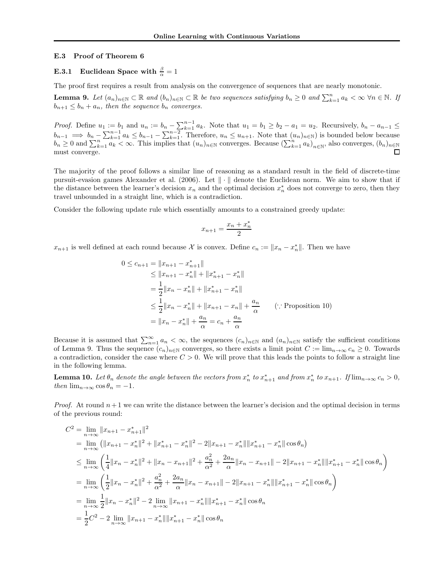#### E.3 Proof of Theorem 6

# **E.3.1** Euclidean Space with  $\frac{\beta}{\alpha} = 1$

The proof first requires a result from analysis on the convergence of sequences that are nearly monotonic.

**Lemma 9.** Let  $(a_n)_{n\in\mathbb{N}}\subset\mathbb{R}$  and  $(b_n)_{n\in\mathbb{N}}\subset\mathbb{R}$  be two sequences satisfying  $b_n\geq 0$  and  $\sum_{k=1}^n a_k < \infty$   $\forall n \in \mathbb{N}$ . If  $b_{n+1} \leq b_n + a_n$ , then the sequence  $b_n$  converges.

*Proof.* Define  $u_1 := b_1$  and  $u_n := b_n - \sum_{k=1}^{n-1} a_k$ . Note that  $u_1 = b_1 \ge b_2 - a_1 = u_2$ . Recursively,  $b_n - a_{n-1} \le b_n$  $b_{n-1} \implies b_n - \sum_{k=1}^{n-1} a_k \le b_{n-1} - \sum_{k=1}^{n-2}$ . Therefore,  $u_n \le u_{n+1}$ . Note that  $(u_n)_{n \in \mathbb{N}}$  is bounded below because  $b_n \geq 0$  and  $\sum_{k=1}^n a_k < \infty$ . This implies that  $(u_n)_{n \in \mathbb{N}}$  converges. Because  $(\sum_{k=1}^n a_k)_{n \in \mathbb{N}}$ , also converges,  $(b_n)_{n \in \mathbb{N}}$ must converge.

The majority of the proof follows a similar line of reasoning as a standard result in the field of discrete-time pursuit-evasion games Alexander et al. (2006). Let  $\|\cdot\|$  denote the Euclidean norm. We aim to show that if the distance between the learner's decision  $x_n$  and the optimal decision  $x_n^*$  does not converge to zero, then they travel unbounded in a straight line, which is a contradiction.

Consider the following update rule which essentially amounts to a constrained greedy update:

$$
x_{n+1} = \frac{x_n + x_n^*}{2}
$$

 $x_{n+1}$  is well defined at each round because X is convex. Define  $c_n := ||x_n - x_n^*||$ . Then we have

$$
0 \le c_{n+1} = ||x_{n+1} - x_{n+1}^{*}||
$$
  
\n
$$
\le ||x_{n+1} - x_{n}^{*}|| + ||x_{n+1}^{*} - x_{n}^{*}||
$$
  
\n
$$
= \frac{1}{2} ||x_{n} - x_{n}^{*}|| + ||x_{n+1}^{*} - x_{n}^{*}||
$$
  
\n
$$
\le \frac{1}{2} ||x_{n} - x_{n}^{*}|| + ||x_{n+1} - x_{n}|| + \frac{a_{n}}{\alpha} \qquad (\because \text{Proposition 10})
$$
  
\n
$$
= ||x_{n} - x_{n}^{*}|| + \frac{a_{n}}{\alpha} = c_{n} + \frac{a_{n}}{\alpha}
$$

Because it is assumed that  $\sum_{n=1}^{\infty} a_n < \infty$ , the sequences  $(c_n)_{n\in\mathbb{N}}$  and  $(a_n)_{n\in\mathbb{N}}$  satisfy the sufficient conditions of Lemma 9. Thus the sequence  $(c_n)_{n\in\mathbb{N}}$  converges, so there exists a limit point  $C := \lim_{n\to\infty} c_n \geq 0$ . Towards a contradiction, consider the case where  $C > 0$ . We will prove that this leads the points to follow a straight line in the following lemma.

**Lemma 10.** Let  $\theta_n$  denote the angle between the vectors from  $x_n^*$  to  $x_{n+1}^*$  and from  $x_n^*$  to  $x_{n+1}$ . If  $\lim_{n\to\infty} c_n > 0$ , then  $\lim_{n\to\infty} \cos\theta_n = -1$ .

*Proof.* At round  $n+1$  we can write the distance between the learner's decision and the optimal decision in terms of the previous round:

$$
C^{2} = \lim_{n \to \infty} ||x_{n+1} - x_{n+1}^{*}||^{2}
$$
  
\n
$$
= \lim_{n \to \infty} (||x_{n+1} - x_{n}^{*}||^{2} + ||x_{n+1}^{*} - x_{n}^{*}||^{2} - 2||x_{n+1} - x_{n}^{*}|| ||x_{n+1}^{*} - x_{n}^{*}|| \cos \theta_{n})
$$
  
\n
$$
\leq \lim_{n \to \infty} \left( \frac{1}{4} ||x_{n} - x_{n}^{*}||^{2} + ||x_{n} - x_{n+1}||^{2} + \frac{a_{n}^{2}}{\alpha^{2}} + \frac{2a_{n}}{\alpha} ||x_{n} - x_{n+1}|| - 2||x_{n+1} - x_{n}^{*}|| ||x_{n+1}^{*} - x_{n}^{*}|| \cos \theta_{n} \right)
$$
  
\n
$$
= \lim_{n \to \infty} \left( \frac{1}{2} ||x_{n} - x_{n}^{*}||^{2} + \frac{a_{n}^{2}}{\alpha^{2}} + \frac{2a_{n}}{\alpha} ||x_{n} - x_{n+1}|| - 2||x_{n+1} - x_{n}^{*}|| ||x_{n+1}^{*} - x_{n}^{*}|| \cos \theta_{n} \right)
$$
  
\n
$$
= \lim_{n \to \infty} \frac{1}{2} ||x_{n} - x_{n}^{*}||^{2} - 2 \lim_{n \to \infty} ||x_{n+1} - x_{n}^{*}|| ||x_{n+1}^{*} - x_{n}^{*}|| \cos \theta_{n}
$$
  
\n
$$
= \frac{1}{2} C^{2} - 2 \lim_{n \to \infty} ||x_{n+1} - x_{n}^{*}|| ||x_{n+1}^{*} - x_{n}^{*}|| \cos \theta_{n}
$$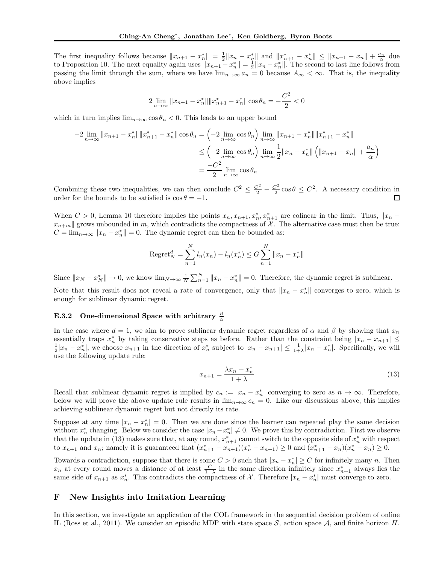The first inequality follows because  $||x_{n+1} - x_n^*|| = \frac{1}{2} ||x_n - x_n^*||$  and  $||x_{n+1}^* - x_n^*|| \le ||x_{n+1} - x_n|| + \frac{a_n}{\alpha}$  due to Proposition 10. The next equality again uses  $||x_{n+1} - x_n^*|| = \frac{1}{2} ||x_n - x_n^*||$ . The second to last line follows from passing the limit through the sum, where we have  $\lim_{n\to\infty} a_n = 0$  because  $A_\infty < \infty$ . That is, the inequality above implies

$$
2\lim_{n\to\infty}||x_{n+1}-x_n^*|| ||x_{n+1}^*-x_n^*||\cos\theta_n=-\frac{C^2}{2}<0
$$

which in turn implies  $\lim_{n\to\infty} \cos\theta_n < 0$ . This leads to an upper bound

$$
-2\lim_{n\to\infty}||x_{n+1}-x_n^*|| ||x_{n+1}^* - x_n^*|| \cos\theta_n = \left(-2\lim_{n\to\infty} \cos\theta_n\right) \lim_{n\to\infty} ||x_{n+1} - x_n^*|| ||x_{n+1}^* - x_n^*||
$$
  

$$
\leq \left(-2\lim_{n\to\infty} \cos\theta_n\right) \lim_{n\to\infty} \frac{1}{2} ||x_n - x_n^*|| \left(||x_{n+1} - x_n|| + \frac{a_n}{\alpha}\right)
$$
  

$$
= \frac{-C^2}{2} \lim_{n\to\infty} \cos\theta_n
$$

Combining these two inequalities, we can then conclude  $C^2 \leq \frac{C^2}{2} - \frac{C^2}{2}$  $\frac{C^2}{2}$  cos  $\theta \leq C^2$ . A necessary condition in order for the bounds to be satisfied is  $\cos \theta = -1$ .  $\Box$ 

When  $C > 0$ , Lemma 10 therefore implies the points  $x_n, x_{n+1}, x_n^*, x_{n+1}^*$  are colinear in the limit. Thus,  $||x_n$  $x_{n+m}$  grows unbounded in m, which contradicts the compactness of X. The alternative case must then be true:  $C = \lim_{n \to \infty} ||x_n - x_n^*|| = 0$ . The dynamic regret can then be bounded as:

Regret<sub>N</sub><sup>d</sup> = 
$$
\sum_{n=1}^{N} l_n(x_n) - l_n(x_n^*) \leq G \sum_{n=1}^{N} ||x_n - x_n^*||
$$

Since  $||x_N - x_N^*|| \to 0$ , we know  $\lim_{N \to \infty} \frac{1}{N} \sum_{n=1}^N ||x_n - x_n^*|| = 0$ . Therefore, the dynamic regret is sublinear.

Note that this result does not reveal a rate of convergence, only that  $||x_n - x_n^*||$  converges to zero, which is enough for sublinear dynamic regret.

# E.3.2 One-dimensional Space with arbitrary  $\frac{\beta}{\alpha}$

In the case where  $d = 1$ , we aim to prove sublinear dynamic regret regardless of  $\alpha$  and  $\beta$  by showing that  $x_n$ essentially traps  $x_n^*$  by taking conservative steps as before. Rather than the constraint being  $|x_n - x_{n+1}| \le$  $\frac{1}{2}|x_n - x_n^*|$ , we choose  $x_{n+1}$  in the direction of  $x_n^*$  subject to  $|x_n - x_{n+1}| \leq \frac{1}{1+\lambda}|x_n - x_n^*|$ . Specifically, we will use the following update rule:

$$
x_{n+1} = \frac{\lambda x_n + x_n^*}{1 + \lambda} \tag{13}
$$

Recall that sublinear dynamic regret is implied by  $c_n := |x_n - x_n^*|$  converging to zero as  $n \to \infty$ . Therefore, below we will prove the above update rule results in  $\lim_{n\to\infty} c_n = 0$ . Like our discussions above, this implies achieving sublinear dynamic regret but not directly its rate.

Suppose at any time  $|x_n - x_n^*| = 0$ . Then we are done since the learner can repeated play the same decision without  $x_n^*$  changing. Below we consider the case  $|x_n - x_n^*| \neq 0$ . We prove this by contradiction. First we observe that the update in (13) makes sure that, at any round,  $x_{n+1}^*$  cannot switch to the opposite side of  $x_n^*$  with respect to  $x_{n+1}$  and  $x_n$ ; namely it is guaranteed that  $(x_{n+1}^* - x_{n+1})(x_n^* - x_{n+1}) \ge 0$  and  $(x_{n+1}^* - x_n)(x_n^* - x_n) \ge 0$ .

Towards a contradiction, suppose that there is some  $C > 0$  such that  $|x_n - x_n^*| \ge C$  for infinitely many n. Then  $x_n$  at every round moves a distance of at least  $\frac{C}{1+\lambda}$  in the same direction infinitely since  $x_{n+1}^*$  always lies the same side of  $x_{n+1}$  as  $x_n^*$ . This contradicts the compactness of  $\mathcal{X}$ . Therefore  $|x_n - x_n^*|$  must converge to zero.

## F New Insights into Imitation Learning

In this section, we investigate an application of the COL framework in the sequential decision problem of online IL (Ross et al., 2011). We consider an episodic MDP with state space  $S$ , action space  $A$ , and finite horizon H.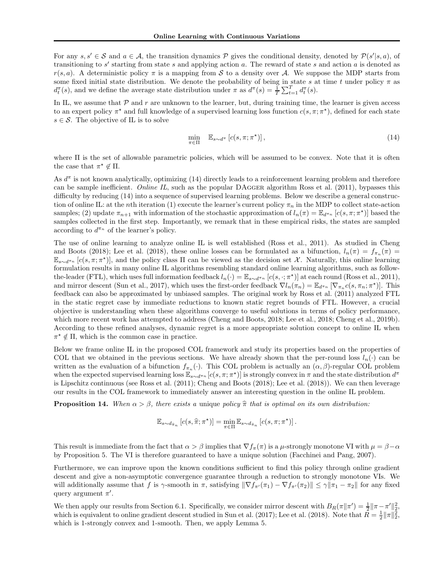For any  $s, s' \in S$  and  $a \in A$ , the transition dynamics  $P$  gives the conditional density, denoted by  $P(s'|s, a)$ , of transitioning to  $s'$  starting from state s and applying action a. The reward of state s and action a is denoted as  $r(s, a)$ . A deterministic policy  $\pi$  is a mapping from S to a density over A. We suppose the MDP starts from some fixed initial state distribution. We denote the probability of being in state s at time t under policy  $\pi$  as  $d_t^{\pi}(s)$ , and we define the average state distribution under  $\pi$  as  $d^{\pi}(s) = \frac{1}{T} \sum_{t=1}^{T} d_t^{\pi}(s)$ .

In IL, we assume that  $\mathcal P$  and r are unknown to the learner, but, during training time, the learner is given access to an expert policy  $\pi^*$  and full knowledge of a supervised learning loss function  $c(s, \pi; \pi^*)$ , defined for each state  $s \in \mathcal{S}$ . The objective of IL is to solve

$$
\min_{\pi \in \Pi} \quad \mathbb{E}_{s \sim d^{\pi}} \left[ c(s, \pi; \pi^{\star}) \right],\tag{14}
$$

where Π is the set of allowable parametric policies, which will be assumed to be convex. Note that it is often the case that  $\pi^* \notin \Pi$ .

As  $d^{\pi}$  is not known analytically, optimizing (14) directly leads to a reinforcement learning problem and therefore can be sample inefficient. Online IL, such as the popular DAGGER algorithm Ross et al. (2011), bypasses this difficulty by reducing  $(14)$  into a sequence of supervised learning problems. Below we describe a general construction of online IL: at the nth iteration (1) execute the learner's current policy  $\pi_n$  in the MDP to collect state-action samples; (2) update  $\pi_{n+1}$  with information of the stochastic approximation of  $l_n(\pi) = \mathbb{E}_{d^{n} n} [c(s, \pi; \pi^*)]$  based the samples collected in the first step. Importantly, we remark that in these empirical risks, the states are sampled according to  $d^{\pi_n}$  of the learner's policy.

The use of online learning to analyze online IL is well established (Ross et al., 2011). As studied in Cheng and Boots (2018); Lee et al. (2018), these online losses can be formulated as a bifunction,  $l_n(\pi) = f_{\pi_n}(\pi) =$  $\mathbb{E}_{s\sim d^{\pi_n}}[c(s,\pi;\pi^*)]$ , and the policy class  $\Pi$  can be viewed as the decision set X. Naturally, this online learning formulation results in many online IL algorithms resembling standard online learning algorithms, such as followthe-leader (FTL), which uses full information feedback  $l_n(\cdot) = \mathbb{E}_{s \sim d^{\pi_n}} [c(s, \cdot; \pi^*)]$  at each round (Ross et al., 2011), and mirror descent (Sun et al., 2017), which uses the first-order feedback  $\nabla l_n(\pi_n) = \mathbb{E}_{d^{\pi_n}} [\nabla_{\pi_n} c(s, \pi_n; \pi^*)]$ . This feedback can also be approximated by unbiased samples. The original work by Ross et al. (2011) analyzed FTL in the static regret case by immediate reductions to known static regret bounds of FTL. However, a crucial objective is understanding when these algorithms converge to useful solutions in terms of policy performance, which more recent work has attempted to address (Cheng and Boots, 2018; Lee et al., 2018; Cheng et al., 2019b). According to these refined analyses, dynamic regret is a more appropriate solution concept to online IL when  $\pi^* \notin \Pi$ , which is the common case in practice.

Below we frame online IL in the proposed COL framework and study its properties based on the properties of COL that we obtained in the previous sections. We have already shown that the per-round loss  $l_n(\cdot)$  can be written as the evaluation of a bifunction  $f_{\pi_n}(\cdot)$ . This COL problem is actually an  $(\alpha, \beta)$ -regular COL problem when the expected supervised learning loss  $\mathbb{E}_{s\sim d^{\pi_n}}[c(s,\pi;\pi^\star)]$  is strongly convex in  $\pi$  and the state distribution  $d^\pi$ is Lipschitz continuous (see Ross et al. (2011); Cheng and Boots (2018); Lee et al. (2018)). We can then leverage our results in the COL framework to immediately answer an interesting question in the online IL problem.

**Proposition 14.** When  $\alpha > \beta$ , there exists a unique policy  $\hat{\pi}$  that is optimal on its own distribution:

$$
\mathbb{E}_{s\sim d_{\widehat{\pi}_n}}\left[c(s,\widehat{\pi};\pi^\star)\right]=\min_{\pi\in\Pi}\mathbb{E}_{s\sim d_{\widehat{\pi}_n}}\left[c(s,\pi;\pi^\star)\right].
$$

This result is immediate from the fact that  $\alpha > \beta$  implies that  $\nabla f_\pi(\pi)$  is a  $\mu$ -strongly monotone VI with  $\mu = \beta - \alpha$ by Proposition 5. The VI is therefore guaranteed to have a unique solution (Facchinei and Pang, 2007).

Furthermore, we can improve upon the known conditions sufficient to find this policy through online gradient descent and give a non-asymptotic convergence guarantee through a reduction to strongly monotone VIs. We will additionally assume that f is  $\gamma$ -smooth in  $\pi$ , satisfying  $\|\nabla f_{\pi'}(\pi_1) - \nabla f_{\pi'}(\pi_2)\| \leq \gamma \|\pi_1 - \pi_2\|$  for any fixed query argument  $\pi'$ .

We then apply our results from Section 6.1. Specifically, we consider mirror descent with  $B_R(\pi || \pi') = \frac{1}{2} || \pi - \pi'||_2^2$ . which is equivalent to online gradient descent studied in Sun et al. (2017); Lee et al. (2018). Note that  $\bar{R} = \frac{1}{2} ||\pi||_2^2$ , which is 1-strongly convex and 1-smooth. Then, we apply Lemma 5.